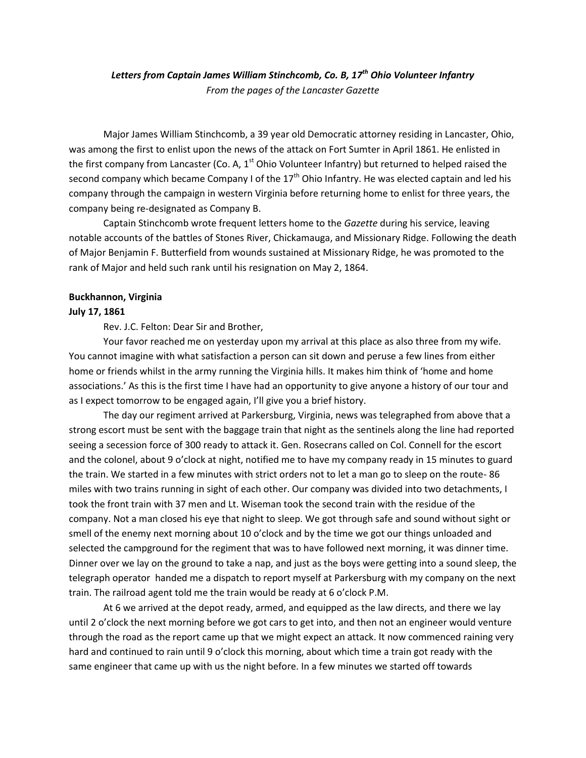# *Letters from Captain James William Stinchcomb, Co. B, 17th Ohio Volunteer Infantry From the pages of the Lancaster Gazette*

Major James William Stinchcomb, a 39 year old Democratic attorney residing in Lancaster, Ohio, was among the first to enlist upon the news of the attack on Fort Sumter in April 1861. He enlisted in the first company from Lancaster (Co. A,  $1<sup>st</sup>$  Ohio Volunteer Infantry) but returned to helped raised the second company which became Company I of the  $17<sup>th</sup>$  Ohio Infantry. He was elected captain and led his company through the campaign in western Virginia before returning home to enlist for three years, the company being re-designated as Company B.

Captain Stinchcomb wrote frequent letters home to the *Gazette* during his service, leaving notable accounts of the battles of Stones River, Chickamauga, and Missionary Ridge. Following the death of Major Benjamin F. Butterfield from wounds sustained at Missionary Ridge, he was promoted to the rank of Major and held such rank until his resignation on May 2, 1864.

#### **Buckhannon, Virginia**

#### **July 17, 1861**

Rev. J.C. Felton: Dear Sir and Brother,

Your favor reached me on yesterday upon my arrival at this place as also three from my wife. You cannot imagine with what satisfaction a person can sit down and peruse a few lines from either home or friends whilst in the army running the Virginia hills. It makes him think of 'home and home associations.' As this is the first time I have had an opportunity to give anyone a history of our tour and as I expect tomorrow to be engaged again, I'll give you a brief history.

The day our regiment arrived at Parkersburg, Virginia, news was telegraphed from above that a strong escort must be sent with the baggage train that night as the sentinels along the line had reported seeing a secession force of 300 ready to attack it. Gen. Rosecrans called on Col. Connell for the escort and the colonel, about 9 o'clock at night, notified me to have my company ready in 15 minutes to guard the train. We started in a few minutes with strict orders not to let a man go to sleep on the route- 86 miles with two trains running in sight of each other. Our company was divided into two detachments, I took the front train with 37 men and Lt. Wiseman took the second train with the residue of the company. Not a man closed his eye that night to sleep. We got through safe and sound without sight or smell of the enemy next morning about 10 o'clock and by the time we got our things unloaded and selected the campground for the regiment that was to have followed next morning, it was dinner time. Dinner over we lay on the ground to take a nap, and just as the boys were getting into a sound sleep, the telegraph operator handed me a dispatch to report myself at Parkersburg with my company on the next train. The railroad agent told me the train would be ready at 6 o'clock P.M.

At 6 we arrived at the depot ready, armed, and equipped as the law directs, and there we lay until 2 o'clock the next morning before we got cars to get into, and then not an engineer would venture through the road as the report came up that we might expect an attack. It now commenced raining very hard and continued to rain until 9 o'clock this morning, about which time a train got ready with the same engineer that came up with us the night before. In a few minutes we started off towards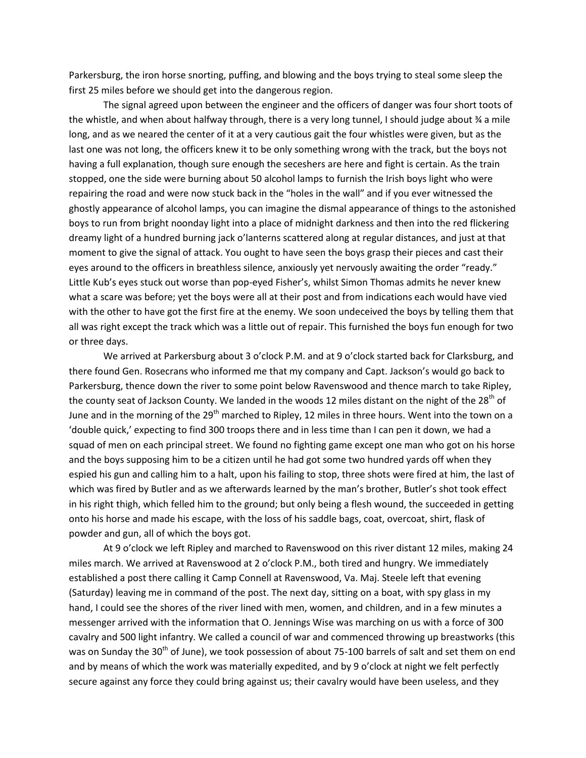Parkersburg, the iron horse snorting, puffing, and blowing and the boys trying to steal some sleep the first 25 miles before we should get into the dangerous region.

The signal agreed upon between the engineer and the officers of danger was four short toots of the whistle, and when about halfway through, there is a very long tunnel, I should judge about ¾ a mile long, and as we neared the center of it at a very cautious gait the four whistles were given, but as the last one was not long, the officers knew it to be only something wrong with the track, but the boys not having a full explanation, though sure enough the seceshers are here and fight is certain. As the train stopped, one the side were burning about 50 alcohol lamps to furnish the Irish boys light who were repairing the road and were now stuck back in the "holes in the wall" and if you ever witnessed the ghostly appearance of alcohol lamps, you can imagine the dismal appearance of things to the astonished boys to run from bright noonday light into a place of midnight darkness and then into the red flickering dreamy light of a hundred burning jack o'lanterns scattered along at regular distances, and just at that moment to give the signal of attack. You ought to have seen the boys grasp their pieces and cast their eyes around to the officers in breathless silence, anxiously yet nervously awaiting the order "ready." Little Kub's eyes stuck out worse than pop-eyed Fisher's, whilst Simon Thomas admits he never knew what a scare was before; yet the boys were all at their post and from indications each would have vied with the other to have got the first fire at the enemy. We soon undeceived the boys by telling them that all was right except the track which was a little out of repair. This furnished the boys fun enough for two or three days.

We arrived at Parkersburg about 3 o'clock P.M. and at 9 o'clock started back for Clarksburg, and there found Gen. Rosecrans who informed me that my company and Capt. Jackson's would go back to Parkersburg, thence down the river to some point below Ravenswood and thence march to take Ripley, the county seat of Jackson County. We landed in the woods 12 miles distant on the night of the 28<sup>th</sup> of June and in the morning of the 29<sup>th</sup> marched to Ripley, 12 miles in three hours. Went into the town on a 'double quick,' expecting to find 300 troops there and in less time than I can pen it down, we had a squad of men on each principal street. We found no fighting game except one man who got on his horse and the boys supposing him to be a citizen until he had got some two hundred yards off when they espied his gun and calling him to a halt, upon his failing to stop, three shots were fired at him, the last of which was fired by Butler and as we afterwards learned by the man's brother, Butler's shot took effect in his right thigh, which felled him to the ground; but only being a flesh wound, the succeeded in getting onto his horse and made his escape, with the loss of his saddle bags, coat, overcoat, shirt, flask of powder and gun, all of which the boys got.

At 9 o'clock we left Ripley and marched to Ravenswood on this river distant 12 miles, making 24 miles march. We arrived at Ravenswood at 2 o'clock P.M., both tired and hungry. We immediately established a post there calling it Camp Connell at Ravenswood, Va. Maj. Steele left that evening (Saturday) leaving me in command of the post. The next day, sitting on a boat, with spy glass in my hand, I could see the shores of the river lined with men, women, and children, and in a few minutes a messenger arrived with the information that O. Jennings Wise was marching on us with a force of 300 cavalry and 500 light infantry. We called a council of war and commenced throwing up breastworks (this was on Sunday the 30<sup>th</sup> of June), we took possession of about 75-100 barrels of salt and set them on end and by means of which the work was materially expedited, and by 9 o'clock at night we felt perfectly secure against any force they could bring against us; their cavalry would have been useless, and they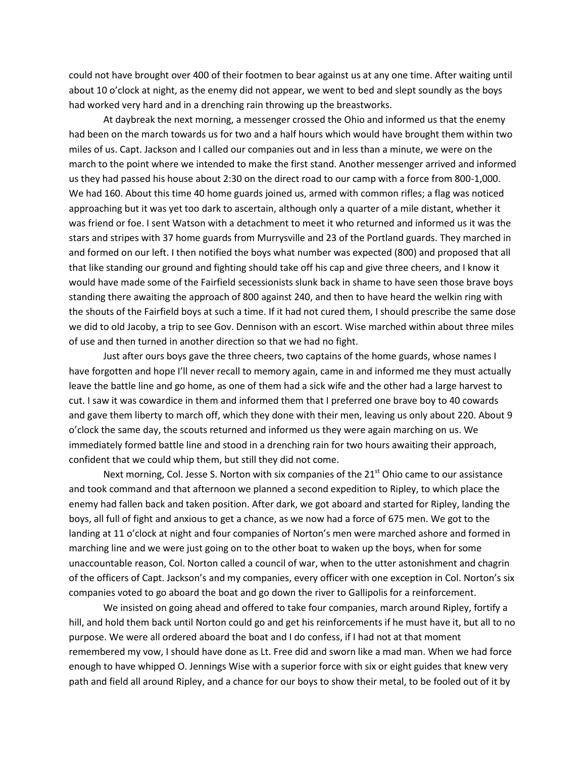could not have brought over 400 of their footmen to bear against us at any one time. After waiting until about 10 o'clock at night, as the enemy did not appear, we went to bed and slept soundly as the boys had worked very hard and in a drenching rain throwing up the breastworks.

At daybreak the next morning, a messenger crossed the Ohio and informed us that the enemy had been on the march towards us for two and a half hours which would have brought them within two miles of us. Capt. Jackson and I called our companies out and in less than a minute, we were on the march to the point where we intended to make the first stand. Another messenger arrived and informed us they had passed his house about 2:30 on the direct road to our camp with a force from 800-1,000. We had 160. About this time 40 home guards joined us, armed with common rifles; a flag was noticed approaching but it was yet too dark to ascertain, although only a quarter of a mile distant, whether it was friend or foe. I sent Watson with a detachment to meet it who returned and informed us it was the stars and stripes with 37 home guards from Murrysville and 23 of the Portland guards. They marched in and formed on our left. I then notified the boys what number was expected (800) and proposed that all that like standing our ground and fighting should take off his cap and give three cheers, and I know it would have made some of the Fairfield secessionists slunk back in shame to have seen those brave boys standing there awaiting the approach of 800 against 240, and then to have heard the welkin ring with the shouts of the Fairfield boys at such a time. If it had not cured them, I should prescribe the same dose we did to old Jacoby, a trip to see Gov. Dennison with an escort. Wise marched within about three miles of use and then turned in another direction so that we had no fight.

Just after ours boys gave the three cheers, two captains of the home guards, whose names I have forgotten and hope I'll never recall to memory again, came in and informed me they must actually leave the battle line and go home, as one of them had a sick wife and the other had a large harvest to cut. I saw it was cowardice in them and informed them that I preferred one brave boy to 40 cowards and gave them liberty to march off, which they done with their men, leaving us only about 220. About 9 o'clock the same day, the scouts returned and informed us they were again marching on us. We immediately formed battle line and stood in a drenching rain for two hours awaiting their approach, confident that we could whip them, but still they did not come.

Next morning, Col. Jesse S. Norton with six companies of the 21<sup>st</sup> Ohio came to our assistance and took command and that afternoon we planned a second expedition to Ripley, to which place the enemy had fallen back and taken position. After dark, we got aboard and started for Ripley, landing the boys, all full of fight and anxious to get a chance, as we now had a force of 675 men. We got to the landing at 11 o'clock at night and four companies of Norton's men were marched ashore and formed in marching line and we were just going on to the other boat to waken up the boys, when for some unaccountable reason, Col. Norton called a council of war, when to the utter astonishment and chagrin of the officers of Capt. Jackson's and my companies, every officer with one exception in Col. Norton's six companies voted to go aboard the boat and go down the river to Gallipolis for a reinforcement.

We insisted on going ahead and offered to take four companies, march around Ripley, fortify a hill, and hold them back until Norton could go and get his reinforcements if he must have it, but all to no purpose. We were all ordered aboard the boat and I do confess, if I had not at that moment remembered my vow, I should have done as Lt. Free did and sworn like a mad man. When we had force enough to have whipped O. Jennings Wise with a superior force with six or eight guides that knew very path and field all around Ripley, and a chance for our boys to show their metal, to be fooled out of it by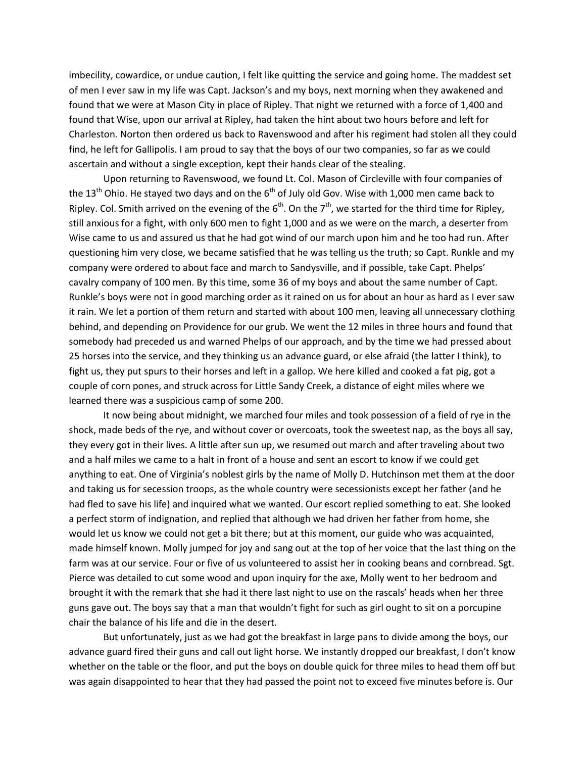imbecility, cowardice, or undue caution, I felt like quitting the service and going home. The maddest set of men I ever saw in my life was Capt. Jackson's and my boys, next morning when they awakened and found that we were at Mason City in place of Ripley. That night we returned with a force of 1,400 and found that Wise, upon our arrival at Ripley, had taken the hint about two hours before and left for Charleston. Norton then ordered us back to Ravenswood and after his regiment had stolen all they could find, he left for Gallipolis. I am proud to say that the boys of our two companies, so far as we could ascertain and without a single exception, kept their hands clear of the stealing.

Upon returning to Ravenswood, we found Lt. Col. Mason of Circleville with four companies of the 13<sup>th</sup> Ohio. He stayed two days and on the 6<sup>th</sup> of July old Gov. Wise with 1,000 men came back to Ripley. Col. Smith arrived on the evening of the 6<sup>th</sup>. On the 7<sup>th</sup>, we started for the third time for Ripley, still anxious for a fight, with only 600 men to fight 1,000 and as we were on the march, a deserter from Wise came to us and assured us that he had got wind of our march upon him and he too had run. After questioning him very close, we became satisfied that he was telling us the truth; so Capt. Runkle and my company were ordered to about face and march to Sandysville, and if possible, take Capt. Phelps' cavalry company of 100 men. By this time, some 36 of my boys and about the same number of Capt. Runkle's boys were not in good marching order as it rained on us for about an hour as hard as I ever saw it rain. We let a portion of them return and started with about 100 men, leaving all unnecessary clothing behind, and depending on Providence for our grub. We went the 12 miles in three hours and found that somebody had preceded us and warned Phelps of our approach, and by the time we had pressed about 25 horses into the service, and they thinking us an advance guard, or else afraid (the latter I think), to fight us, they put spurs to their horses and left in a gallop. We here killed and cooked a fat pig, got a couple of corn pones, and struck across for Little Sandy Creek, a distance of eight miles where we learned there was a suspicious camp of some 200.

It now being about midnight, we marched four miles and took possession of a field of rye in the shock, made beds of the rye, and without cover or overcoats, took the sweetest nap, as the boys all say, they every got in their lives. A little after sun up, we resumed out march and after traveling about two and a half miles we came to a halt in front of a house and sent an escort to know if we could get anything to eat. One of Virginia's noblest girls by the name of Molly D. Hutchinson met them at the door and taking us for secession troops, as the whole country were secessionists except her father (and he had fled to save his life) and inquired what we wanted. Our escort replied something to eat. She looked a perfect storm of indignation, and replied that although we had driven her father from home, she would let us know we could not get a bit there; but at this moment, our guide who was acquainted, made himself known. Molly jumped for joy and sang out at the top of her voice that the last thing on the farm was at our service. Four or five of us volunteered to assist her in cooking beans and cornbread. Sgt. Pierce was detailed to cut some wood and upon inquiry for the axe, Molly went to her bedroom and brought it with the remark that she had it there last night to use on the rascals' heads when her three guns gave out. The boys say that a man that wouldn't fight for such as girl ought to sit on a porcupine chair the balance of his life and die in the desert.

But unfortunately, just as we had got the breakfast in large pans to divide among the boys, our advance guard fired their guns and call out light horse. We instantly dropped our breakfast, I don't know whether on the table or the floor, and put the boys on double quick for three miles to head them off but was again disappointed to hear that they had passed the point not to exceed five minutes before is. Our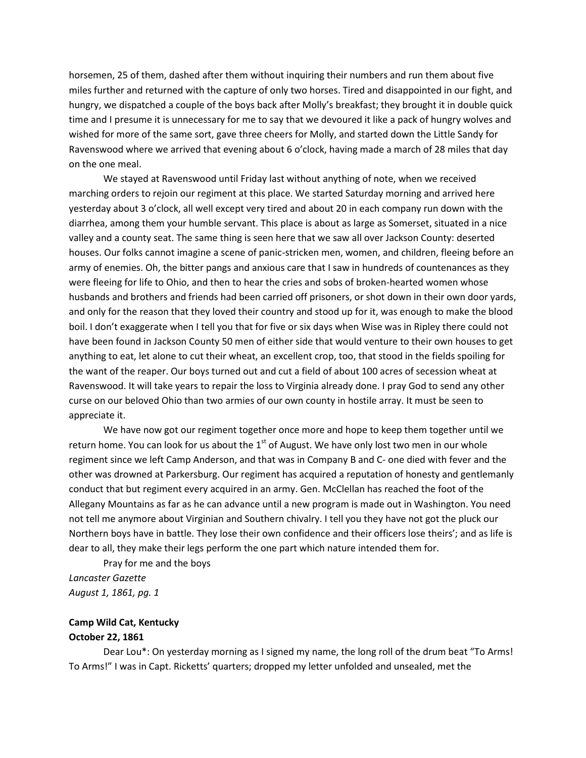horsemen, 25 of them, dashed after them without inquiring their numbers and run them about five miles further and returned with the capture of only two horses. Tired and disappointed in our fight, and hungry, we dispatched a couple of the boys back after Molly's breakfast; they brought it in double quick time and I presume it is unnecessary for me to say that we devoured it like a pack of hungry wolves and wished for more of the same sort, gave three cheers for Molly, and started down the Little Sandy for Ravenswood where we arrived that evening about 6 o'clock, having made a march of 28 miles that day on the one meal.

We stayed at Ravenswood until Friday last without anything of note, when we received marching orders to rejoin our regiment at this place. We started Saturday morning and arrived here yesterday about 3 o'clock, all well except very tired and about 20 in each company run down with the diarrhea, among them your humble servant. This place is about as large as Somerset, situated in a nice valley and a county seat. The same thing is seen here that we saw all over Jackson County: deserted houses. Our folks cannot imagine a scene of panic-stricken men, women, and children, fleeing before an army of enemies. Oh, the bitter pangs and anxious care that I saw in hundreds of countenances as they were fleeing for life to Ohio, and then to hear the cries and sobs of broken-hearted women whose husbands and brothers and friends had been carried off prisoners, or shot down in their own door yards, and only for the reason that they loved their country and stood up for it, was enough to make the blood boil. I don't exaggerate when I tell you that for five or six days when Wise was in Ripley there could not have been found in Jackson County 50 men of either side that would venture to their own houses to get anything to eat, let alone to cut their wheat, an excellent crop, too, that stood in the fields spoiling for the want of the reaper. Our boys turned out and cut a field of about 100 acres of secession wheat at Ravenswood. It will take years to repair the loss to Virginia already done. I pray God to send any other curse on our beloved Ohio than two armies of our own county in hostile array. It must be seen to appreciate it.

We have now got our regiment together once more and hope to keep them together until we return home. You can look for us about the  $1<sup>st</sup>$  of August. We have only lost two men in our whole regiment since we left Camp Anderson, and that was in Company B and C- one died with fever and the other was drowned at Parkersburg. Our regiment has acquired a reputation of honesty and gentlemanly conduct that but regiment every acquired in an army. Gen. McClellan has reached the foot of the Allegany Mountains as far as he can advance until a new program is made out in Washington. You need not tell me anymore about Virginian and Southern chivalry. I tell you they have not got the pluck our Northern boys have in battle. They lose their own confidence and their officers lose theirs'; and as life is dear to all, they make their legs perform the one part which nature intended them for.

Pray for me and the boys *Lancaster Gazette August 1, 1861, pg. 1*

**Camp Wild Cat, Kentucky October 22, 1861**

Dear Lou\*: On yesterday morning as I signed my name, the long roll of the drum beat "To Arms! To Arms!" I was in Capt. Ricketts' quarters; dropped my letter unfolded and unsealed, met the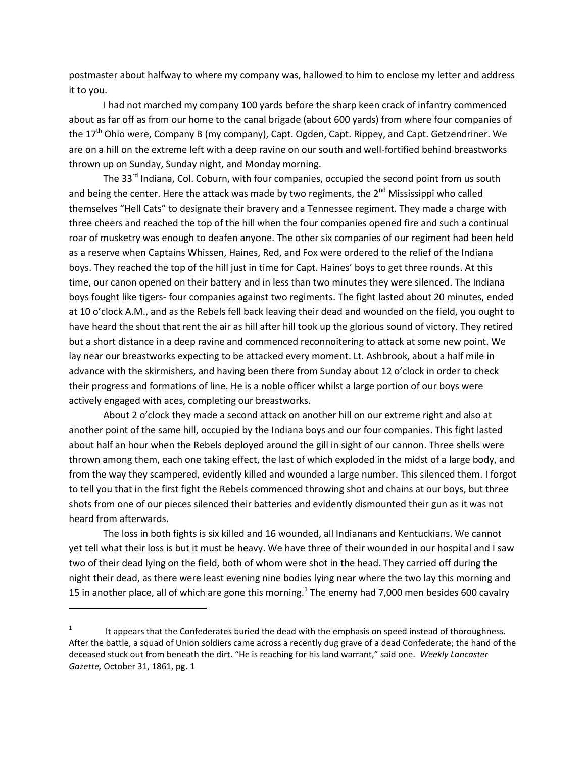postmaster about halfway to where my company was, hallowed to him to enclose my letter and address it to you.

I had not marched my company 100 yards before the sharp keen crack of infantry commenced about as far off as from our home to the canal brigade (about 600 yards) from where four companies of the 17<sup>th</sup> Ohio were, Company B (my company), Capt. Ogden, Capt. Rippey, and Capt. Getzendriner. We are on a hill on the extreme left with a deep ravine on our south and well-fortified behind breastworks thrown up on Sunday, Sunday night, and Monday morning.

The 33<sup>rd</sup> Indiana, Col. Coburn, with four companies, occupied the second point from us south and being the center. Here the attack was made by two regiments, the  $2^{nd}$  Mississippi who called themselves "Hell Cats" to designate their bravery and a Tennessee regiment. They made a charge with three cheers and reached the top of the hill when the four companies opened fire and such a continual roar of musketry was enough to deafen anyone. The other six companies of our regiment had been held as a reserve when Captains Whissen, Haines, Red, and Fox were ordered to the relief of the Indiana boys. They reached the top of the hill just in time for Capt. Haines' boys to get three rounds. At this time, our canon opened on their battery and in less than two minutes they were silenced. The Indiana boys fought like tigers- four companies against two regiments. The fight lasted about 20 minutes, ended at 10 o'clock A.M., and as the Rebels fell back leaving their dead and wounded on the field, you ought to have heard the shout that rent the air as hill after hill took up the glorious sound of victory. They retired but a short distance in a deep ravine and commenced reconnoitering to attack at some new point. We lay near our breastworks expecting to be attacked every moment. Lt. Ashbrook, about a half mile in advance with the skirmishers, and having been there from Sunday about 12 o'clock in order to check their progress and formations of line. He is a noble officer whilst a large portion of our boys were actively engaged with aces, completing our breastworks.

About 2 o'clock they made a second attack on another hill on our extreme right and also at another point of the same hill, occupied by the Indiana boys and our four companies. This fight lasted about half an hour when the Rebels deployed around the gill in sight of our cannon. Three shells were thrown among them, each one taking effect, the last of which exploded in the midst of a large body, and from the way they scampered, evidently killed and wounded a large number. This silenced them. I forgot to tell you that in the first fight the Rebels commenced throwing shot and chains at our boys, but three shots from one of our pieces silenced their batteries and evidently dismounted their gun as it was not heard from afterwards.

The loss in both fights is six killed and 16 wounded, all Indianans and Kentuckians. We cannot yet tell what their loss is but it must be heavy. We have three of their wounded in our hospital and I saw two of their dead lying on the field, both of whom were shot in the head. They carried off during the night their dead, as there were least evening nine bodies lying near where the two lay this morning and 15 in another place, all of which are gone this morning.<sup>1</sup> The enemy had 7,000 men besides 600 cavalry

 $\overline{a}$ 

<sup>1</sup> It appears that the Confederates buried the dead with the emphasis on speed instead of thoroughness. After the battle, a squad of Union soldiers came across a recently dug grave of a dead Confederate; the hand of the deceased stuck out from beneath the dirt. "He is reaching for his land warrant," said one. *Weekly Lancaster Gazette,* October 31, 1861, pg. 1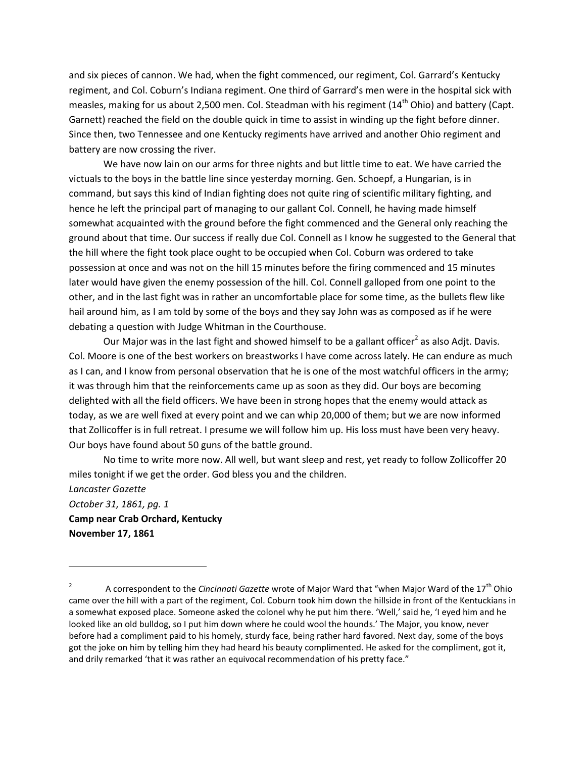and six pieces of cannon. We had, when the fight commenced, our regiment, Col. Garrard's Kentucky regiment, and Col. Coburn's Indiana regiment. One third of Garrard's men were in the hospital sick with measles, making for us about 2,500 men. Col. Steadman with his regiment (14<sup>th</sup> Ohio) and battery (Capt. Garnett) reached the field on the double quick in time to assist in winding up the fight before dinner. Since then, two Tennessee and one Kentucky regiments have arrived and another Ohio regiment and battery are now crossing the river.

We have now lain on our arms for three nights and but little time to eat. We have carried the victuals to the boys in the battle line since yesterday morning. Gen. Schoepf, a Hungarian, is in command, but says this kind of Indian fighting does not quite ring of scientific military fighting, and hence he left the principal part of managing to our gallant Col. Connell, he having made himself somewhat acquainted with the ground before the fight commenced and the General only reaching the ground about that time. Our success if really due Col. Connell as I know he suggested to the General that the hill where the fight took place ought to be occupied when Col. Coburn was ordered to take possession at once and was not on the hill 15 minutes before the firing commenced and 15 minutes later would have given the enemy possession of the hill. Col. Connell galloped from one point to the other, and in the last fight was in rather an uncomfortable place for some time, as the bullets flew like hail around him, as I am told by some of the boys and they say John was as composed as if he were debating a question with Judge Whitman in the Courthouse.

Our Major was in the last fight and showed himself to be a gallant officer<sup>2</sup> as also Adjt. Davis. Col. Moore is one of the best workers on breastworks I have come across lately. He can endure as much as I can, and I know from personal observation that he is one of the most watchful officers in the army; it was through him that the reinforcements came up as soon as they did. Our boys are becoming delighted with all the field officers. We have been in strong hopes that the enemy would attack as today, as we are well fixed at every point and we can whip 20,000 of them; but we are now informed that Zollicoffer is in full retreat. I presume we will follow him up. His loss must have been very heavy. Our boys have found about 50 guns of the battle ground.

No time to write more now. All well, but want sleep and rest, yet ready to follow Zollicoffer 20 miles tonight if we get the order. God bless you and the children.

*Lancaster Gazette October 31, 1861, pg. 1* **Camp near Crab Orchard, Kentucky November 17, 1861**

 $\overline{\phantom{a}}$ 

<sup>2</sup> A correspondent to the *Cincinnati Gazette* wrote of Major Ward that "when Major Ward of the 17th Ohio came over the hill with a part of the regiment, Col. Coburn took him down the hillside in front of the Kentuckians in a somewhat exposed place. Someone asked the colonel why he put him there. 'Well,' said he, 'I eyed him and he looked like an old bulldog, so I put him down where he could wool the hounds.' The Major, you know, never before had a compliment paid to his homely, sturdy face, being rather hard favored. Next day, some of the boys got the joke on him by telling him they had heard his beauty complimented. He asked for the compliment, got it, and drily remarked 'that it was rather an equivocal recommendation of his pretty face."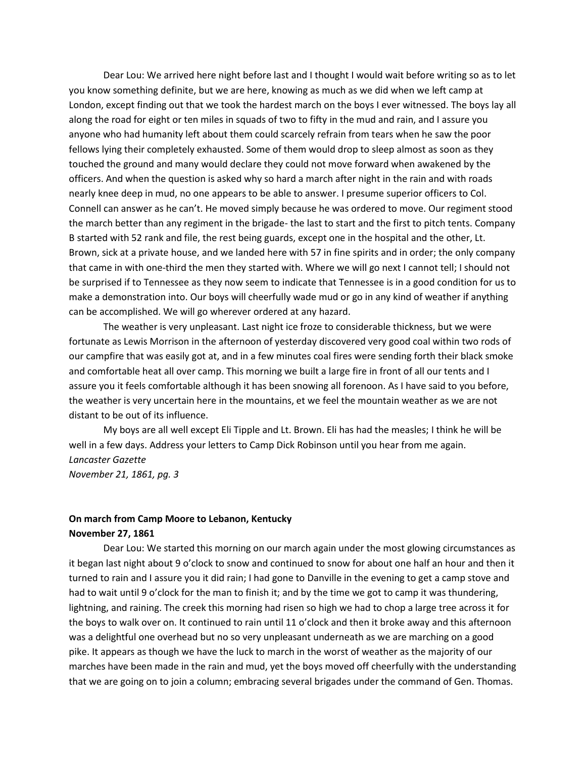Dear Lou: We arrived here night before last and I thought I would wait before writing so as to let you know something definite, but we are here, knowing as much as we did when we left camp at London, except finding out that we took the hardest march on the boys I ever witnessed. The boys lay all along the road for eight or ten miles in squads of two to fifty in the mud and rain, and I assure you anyone who had humanity left about them could scarcely refrain from tears when he saw the poor fellows lying their completely exhausted. Some of them would drop to sleep almost as soon as they touched the ground and many would declare they could not move forward when awakened by the officers. And when the question is asked why so hard a march after night in the rain and with roads nearly knee deep in mud, no one appears to be able to answer. I presume superior officers to Col. Connell can answer as he can't. He moved simply because he was ordered to move. Our regiment stood the march better than any regiment in the brigade- the last to start and the first to pitch tents. Company B started with 52 rank and file, the rest being guards, except one in the hospital and the other, Lt. Brown, sick at a private house, and we landed here with 57 in fine spirits and in order; the only company that came in with one-third the men they started with. Where we will go next I cannot tell; I should not be surprised if to Tennessee as they now seem to indicate that Tennessee is in a good condition for us to make a demonstration into. Our boys will cheerfully wade mud or go in any kind of weather if anything can be accomplished. We will go wherever ordered at any hazard.

The weather is very unpleasant. Last night ice froze to considerable thickness, but we were fortunate as Lewis Morrison in the afternoon of yesterday discovered very good coal within two rods of our campfire that was easily got at, and in a few minutes coal fires were sending forth their black smoke and comfortable heat all over camp. This morning we built a large fire in front of all our tents and I assure you it feels comfortable although it has been snowing all forenoon. As I have said to you before, the weather is very uncertain here in the mountains, et we feel the mountain weather as we are not distant to be out of its influence.

My boys are all well except Eli Tipple and Lt. Brown. Eli has had the measles; I think he will be well in a few days. Address your letters to Camp Dick Robinson until you hear from me again. *Lancaster Gazette November 21, 1861, pg. 3*

## **On march from Camp Moore to Lebanon, Kentucky November 27, 1861**

Dear Lou: We started this morning on our march again under the most glowing circumstances as it began last night about 9 o'clock to snow and continued to snow for about one half an hour and then it turned to rain and I assure you it did rain; I had gone to Danville in the evening to get a camp stove and had to wait until 9 o'clock for the man to finish it; and by the time we got to camp it was thundering, lightning, and raining. The creek this morning had risen so high we had to chop a large tree across it for the boys to walk over on. It continued to rain until 11 o'clock and then it broke away and this afternoon was a delightful one overhead but no so very unpleasant underneath as we are marching on a good pike. It appears as though we have the luck to march in the worst of weather as the majority of our marches have been made in the rain and mud, yet the boys moved off cheerfully with the understanding that we are going on to join a column; embracing several brigades under the command of Gen. Thomas.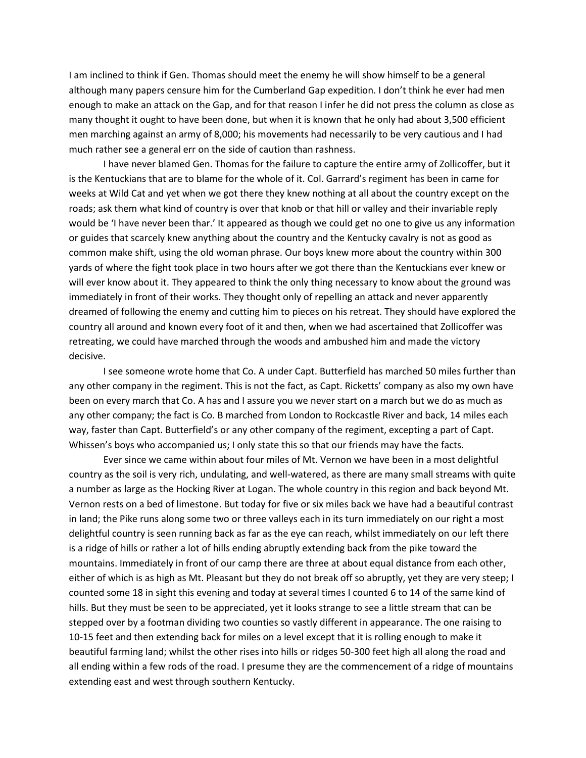I am inclined to think if Gen. Thomas should meet the enemy he will show himself to be a general although many papers censure him for the Cumberland Gap expedition. I don't think he ever had men enough to make an attack on the Gap, and for that reason I infer he did not press the column as close as many thought it ought to have been done, but when it is known that he only had about 3,500 efficient men marching against an army of 8,000; his movements had necessarily to be very cautious and I had much rather see a general err on the side of caution than rashness.

I have never blamed Gen. Thomas for the failure to capture the entire army of Zollicoffer, but it is the Kentuckians that are to blame for the whole of it. Col. Garrard's regiment has been in came for weeks at Wild Cat and yet when we got there they knew nothing at all about the country except on the roads; ask them what kind of country is over that knob or that hill or valley and their invariable reply would be 'I have never been thar.' It appeared as though we could get no one to give us any information or guides that scarcely knew anything about the country and the Kentucky cavalry is not as good as common make shift, using the old woman phrase. Our boys knew more about the country within 300 yards of where the fight took place in two hours after we got there than the Kentuckians ever knew or will ever know about it. They appeared to think the only thing necessary to know about the ground was immediately in front of their works. They thought only of repelling an attack and never apparently dreamed of following the enemy and cutting him to pieces on his retreat. They should have explored the country all around and known every foot of it and then, when we had ascertained that Zollicoffer was retreating, we could have marched through the woods and ambushed him and made the victory decisive.

I see someone wrote home that Co. A under Capt. Butterfield has marched 50 miles further than any other company in the regiment. This is not the fact, as Capt. Ricketts' company as also my own have been on every march that Co. A has and I assure you we never start on a march but we do as much as any other company; the fact is Co. B marched from London to Rockcastle River and back, 14 miles each way, faster than Capt. Butterfield's or any other company of the regiment, excepting a part of Capt. Whissen's boys who accompanied us; I only state this so that our friends may have the facts.

Ever since we came within about four miles of Mt. Vernon we have been in a most delightful country as the soil is very rich, undulating, and well-watered, as there are many small streams with quite a number as large as the Hocking River at Logan. The whole country in this region and back beyond Mt. Vernon rests on a bed of limestone. But today for five or six miles back we have had a beautiful contrast in land; the Pike runs along some two or three valleys each in its turn immediately on our right a most delightful country is seen running back as far as the eye can reach, whilst immediately on our left there is a ridge of hills or rather a lot of hills ending abruptly extending back from the pike toward the mountains. Immediately in front of our camp there are three at about equal distance from each other, either of which is as high as Mt. Pleasant but they do not break off so abruptly, yet they are very steep; I counted some 18 in sight this evening and today at several times I counted 6 to 14 of the same kind of hills. But they must be seen to be appreciated, yet it looks strange to see a little stream that can be stepped over by a footman dividing two counties so vastly different in appearance. The one raising to 10-15 feet and then extending back for miles on a level except that it is rolling enough to make it beautiful farming land; whilst the other rises into hills or ridges 50-300 feet high all along the road and all ending within a few rods of the road. I presume they are the commencement of a ridge of mountains extending east and west through southern Kentucky.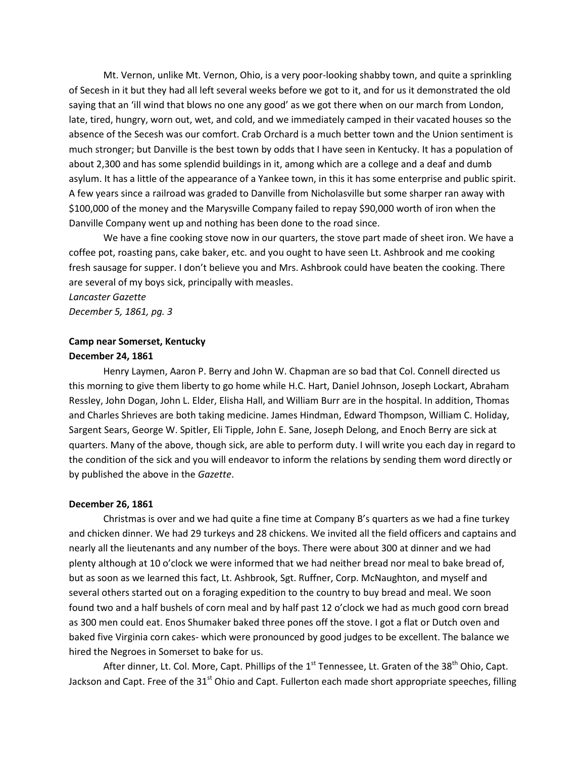Mt. Vernon, unlike Mt. Vernon, Ohio, is a very poor-looking shabby town, and quite a sprinkling of Secesh in it but they had all left several weeks before we got to it, and for us it demonstrated the old saying that an 'ill wind that blows no one any good' as we got there when on our march from London, late, tired, hungry, worn out, wet, and cold, and we immediately camped in their vacated houses so the absence of the Secesh was our comfort. Crab Orchard is a much better town and the Union sentiment is much stronger; but Danville is the best town by odds that I have seen in Kentucky. It has a population of about 2,300 and has some splendid buildings in it, among which are a college and a deaf and dumb asylum. It has a little of the appearance of a Yankee town, in this it has some enterprise and public spirit. A few years since a railroad was graded to Danville from Nicholasville but some sharper ran away with \$100,000 of the money and the Marysville Company failed to repay \$90,000 worth of iron when the Danville Company went up and nothing has been done to the road since.

We have a fine cooking stove now in our quarters, the stove part made of sheet iron. We have a coffee pot, roasting pans, cake baker, etc. and you ought to have seen Lt. Ashbrook and me cooking fresh sausage for supper. I don't believe you and Mrs. Ashbrook could have beaten the cooking. There are several of my boys sick, principally with measles.

*Lancaster Gazette December 5, 1861, pg. 3*

## **Camp near Somerset, Kentucky**

#### **December 24, 1861**

Henry Laymen, Aaron P. Berry and John W. Chapman are so bad that Col. Connell directed us this morning to give them liberty to go home while H.C. Hart, Daniel Johnson, Joseph Lockart, Abraham Ressley, John Dogan, John L. Elder, Elisha Hall, and William Burr are in the hospital. In addition, Thomas and Charles Shrieves are both taking medicine. James Hindman, Edward Thompson, William C. Holiday, Sargent Sears, George W. Spitler, Eli Tipple, John E. Sane, Joseph Delong, and Enoch Berry are sick at quarters. Many of the above, though sick, are able to perform duty. I will write you each day in regard to the condition of the sick and you will endeavor to inform the relations by sending them word directly or by published the above in the *Gazette*.

#### **December 26, 1861**

Christmas is over and we had quite a fine time at Company B's quarters as we had a fine turkey and chicken dinner. We had 29 turkeys and 28 chickens. We invited all the field officers and captains and nearly all the lieutenants and any number of the boys. There were about 300 at dinner and we had plenty although at 10 o'clock we were informed that we had neither bread nor meal to bake bread of, but as soon as we learned this fact, Lt. Ashbrook, Sgt. Ruffner, Corp. McNaughton, and myself and several others started out on a foraging expedition to the country to buy bread and meal. We soon found two and a half bushels of corn meal and by half past 12 o'clock we had as much good corn bread as 300 men could eat. Enos Shumaker baked three pones off the stove. I got a flat or Dutch oven and baked five Virginia corn cakes- which were pronounced by good judges to be excellent. The balance we hired the Negroes in Somerset to bake for us.

After dinner, Lt. Col. More, Capt. Phillips of the  $1<sup>st</sup>$  Tennessee, Lt. Graten of the 38<sup>th</sup> Ohio, Capt. Jackson and Capt. Free of the 31<sup>st</sup> Ohio and Capt. Fullerton each made short appropriate speeches, filling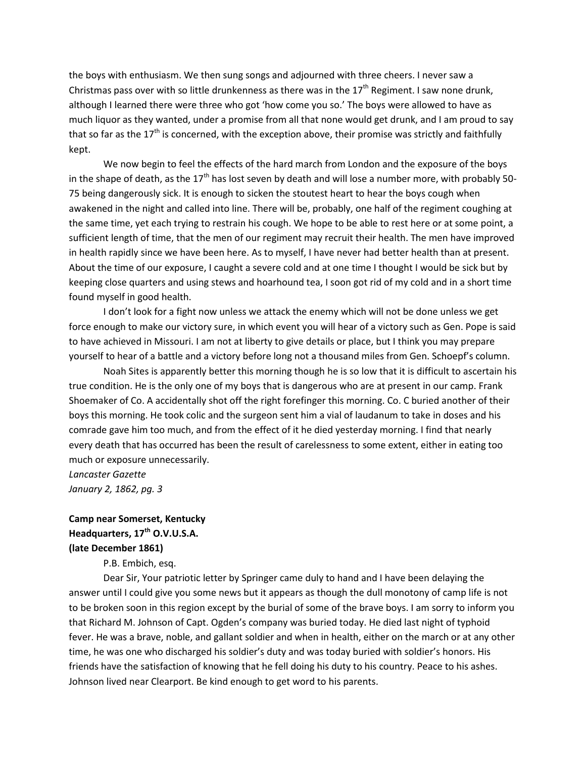the boys with enthusiasm. We then sung songs and adjourned with three cheers. I never saw a Christmas pass over with so little drunkenness as there was in the  $17<sup>th</sup>$  Regiment. I saw none drunk, although I learned there were three who got 'how come you so.' The boys were allowed to have as much liquor as they wanted, under a promise from all that none would get drunk, and I am proud to say that so far as the  $17<sup>th</sup>$  is concerned, with the exception above, their promise was strictly and faithfully kept.

We now begin to feel the effects of the hard march from London and the exposure of the boys in the shape of death, as the  $17<sup>th</sup>$  has lost seven by death and will lose a number more, with probably 50-75 being dangerously sick. It is enough to sicken the stoutest heart to hear the boys cough when awakened in the night and called into line. There will be, probably, one half of the regiment coughing at the same time, yet each trying to restrain his cough. We hope to be able to rest here or at some point, a sufficient length of time, that the men of our regiment may recruit their health. The men have improved in health rapidly since we have been here. As to myself, I have never had better health than at present. About the time of our exposure, I caught a severe cold and at one time I thought I would be sick but by keeping close quarters and using stews and hoarhound tea, I soon got rid of my cold and in a short time found myself in good health.

I don't look for a fight now unless we attack the enemy which will not be done unless we get force enough to make our victory sure, in which event you will hear of a victory such as Gen. Pope is said to have achieved in Missouri. I am not at liberty to give details or place, but I think you may prepare yourself to hear of a battle and a victory before long not a thousand miles from Gen. Schoepf's column.

Noah Sites is apparently better this morning though he is so low that it is difficult to ascertain his true condition. He is the only one of my boys that is dangerous who are at present in our camp. Frank Shoemaker of Co. A accidentally shot off the right forefinger this morning. Co. C buried another of their boys this morning. He took colic and the surgeon sent him a vial of laudanum to take in doses and his comrade gave him too much, and from the effect of it he died yesterday morning. I find that nearly every death that has occurred has been the result of carelessness to some extent, either in eating too much or exposure unnecessarily.

*Lancaster Gazette January 2, 1862, pg. 3*

## **Camp near Somerset, Kentucky Headquarters, 17th O.V.U.S.A. (late December 1861)**

P.B. Embich, esq.

Dear Sir, Your patriotic letter by Springer came duly to hand and I have been delaying the answer until I could give you some news but it appears as though the dull monotony of camp life is not to be broken soon in this region except by the burial of some of the brave boys. I am sorry to inform you that Richard M. Johnson of Capt. Ogden's company was buried today. He died last night of typhoid fever. He was a brave, noble, and gallant soldier and when in health, either on the march or at any other time, he was one who discharged his soldier's duty and was today buried with soldier's honors. His friends have the satisfaction of knowing that he fell doing his duty to his country. Peace to his ashes. Johnson lived near Clearport. Be kind enough to get word to his parents.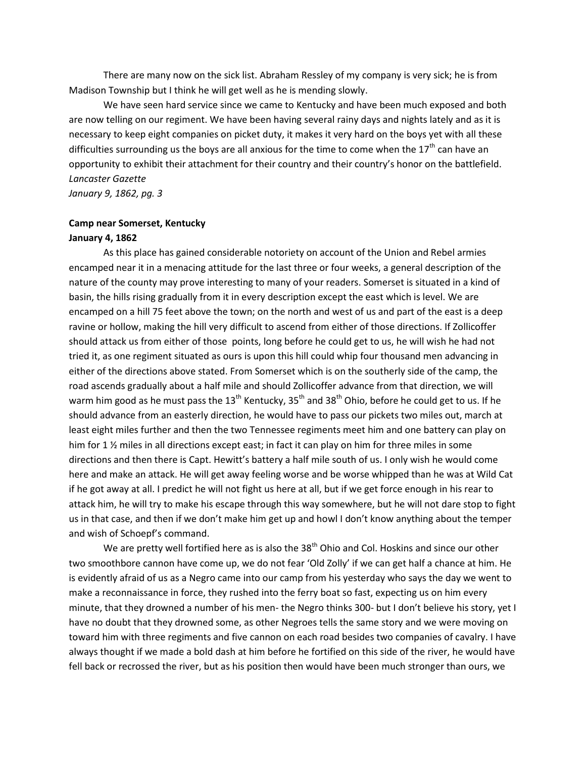There are many now on the sick list. Abraham Ressley of my company is very sick; he is from Madison Township but I think he will get well as he is mending slowly.

We have seen hard service since we came to Kentucky and have been much exposed and both are now telling on our regiment. We have been having several rainy days and nights lately and as it is necessary to keep eight companies on picket duty, it makes it very hard on the boys yet with all these difficulties surrounding us the boys are all anxious for the time to come when the  $17^{th}$  can have an opportunity to exhibit their attachment for their country and their country's honor on the battlefield. *Lancaster Gazette*

*January 9, 1862, pg. 3*

### **Camp near Somerset, Kentucky January 4, 1862**

As this place has gained considerable notoriety on account of the Union and Rebel armies encamped near it in a menacing attitude for the last three or four weeks, a general description of the nature of the county may prove interesting to many of your readers. Somerset is situated in a kind of basin, the hills rising gradually from it in every description except the east which is level. We are encamped on a hill 75 feet above the town; on the north and west of us and part of the east is a deep ravine or hollow, making the hill very difficult to ascend from either of those directions. If Zollicoffer should attack us from either of those points, long before he could get to us, he will wish he had not tried it, as one regiment situated as ours is upon this hill could whip four thousand men advancing in either of the directions above stated. From Somerset which is on the southerly side of the camp, the road ascends gradually about a half mile and should Zollicoffer advance from that direction, we will warm him good as he must pass the 13<sup>th</sup> Kentucky, 35<sup>th</sup> and 38<sup>th</sup> Ohio, before he could get to us. If he should advance from an easterly direction, he would have to pass our pickets two miles out, march at least eight miles further and then the two Tennessee regiments meet him and one battery can play on him for 1 % miles in all directions except east; in fact it can play on him for three miles in some directions and then there is Capt. Hewitt's battery a half mile south of us. I only wish he would come here and make an attack. He will get away feeling worse and be worse whipped than he was at Wild Cat if he got away at all. I predict he will not fight us here at all, but if we get force enough in his rear to attack him, he will try to make his escape through this way somewhere, but he will not dare stop to fight us in that case, and then if we don't make him get up and howl I don't know anything about the temper and wish of Schoepf's command.

We are pretty well fortified here as is also the 38<sup>th</sup> Ohio and Col. Hoskins and since our other two smoothbore cannon have come up, we do not fear 'Old Zolly' if we can get half a chance at him. He is evidently afraid of us as a Negro came into our camp from his yesterday who says the day we went to make a reconnaissance in force, they rushed into the ferry boat so fast, expecting us on him every minute, that they drowned a number of his men- the Negro thinks 300- but I don't believe his story, yet I have no doubt that they drowned some, as other Negroes tells the same story and we were moving on toward him with three regiments and five cannon on each road besides two companies of cavalry. I have always thought if we made a bold dash at him before he fortified on this side of the river, he would have fell back or recrossed the river, but as his position then would have been much stronger than ours, we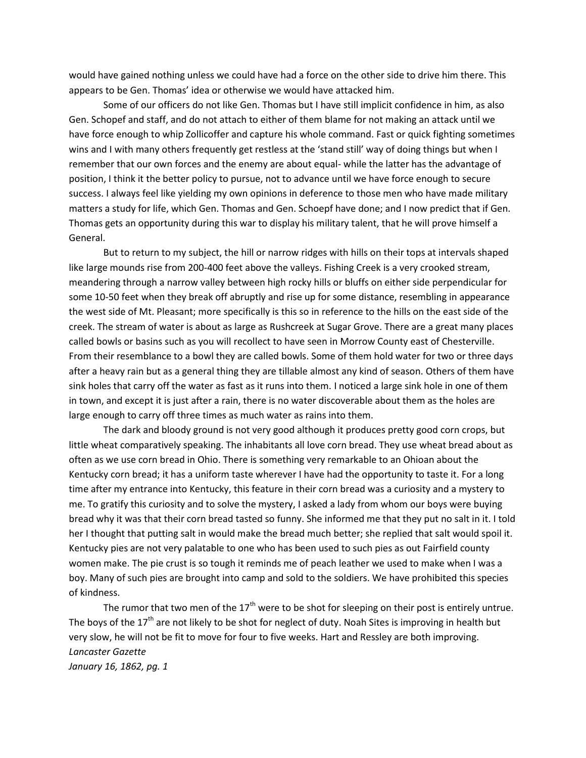would have gained nothing unless we could have had a force on the other side to drive him there. This appears to be Gen. Thomas' idea or otherwise we would have attacked him.

Some of our officers do not like Gen. Thomas but I have still implicit confidence in him, as also Gen. Schopef and staff, and do not attach to either of them blame for not making an attack until we have force enough to whip Zollicoffer and capture his whole command. Fast or quick fighting sometimes wins and I with many others frequently get restless at the 'stand still' way of doing things but when I remember that our own forces and the enemy are about equal- while the latter has the advantage of position, I think it the better policy to pursue, not to advance until we have force enough to secure success. I always feel like yielding my own opinions in deference to those men who have made military matters a study for life, which Gen. Thomas and Gen. Schoepf have done; and I now predict that if Gen. Thomas gets an opportunity during this war to display his military talent, that he will prove himself a General.

But to return to my subject, the hill or narrow ridges with hills on their tops at intervals shaped like large mounds rise from 200-400 feet above the valleys. Fishing Creek is a very crooked stream, meandering through a narrow valley between high rocky hills or bluffs on either side perpendicular for some 10-50 feet when they break off abruptly and rise up for some distance, resembling in appearance the west side of Mt. Pleasant; more specifically is this so in reference to the hills on the east side of the creek. The stream of water is about as large as Rushcreek at Sugar Grove. There are a great many places called bowls or basins such as you will recollect to have seen in Morrow County east of Chesterville. From their resemblance to a bowl they are called bowls. Some of them hold water for two or three days after a heavy rain but as a general thing they are tillable almost any kind of season. Others of them have sink holes that carry off the water as fast as it runs into them. I noticed a large sink hole in one of them in town, and except it is just after a rain, there is no water discoverable about them as the holes are large enough to carry off three times as much water as rains into them.

The dark and bloody ground is not very good although it produces pretty good corn crops, but little wheat comparatively speaking. The inhabitants all love corn bread. They use wheat bread about as often as we use corn bread in Ohio. There is something very remarkable to an Ohioan about the Kentucky corn bread; it has a uniform taste wherever I have had the opportunity to taste it. For a long time after my entrance into Kentucky, this feature in their corn bread was a curiosity and a mystery to me. To gratify this curiosity and to solve the mystery, I asked a lady from whom our boys were buying bread why it was that their corn bread tasted so funny. She informed me that they put no salt in it. I told her I thought that putting salt in would make the bread much better; she replied that salt would spoil it. Kentucky pies are not very palatable to one who has been used to such pies as out Fairfield county women make. The pie crust is so tough it reminds me of peach leather we used to make when I was a boy. Many of such pies are brought into camp and sold to the soldiers. We have prohibited this species of kindness.

The rumor that two men of the  $17<sup>th</sup>$  were to be shot for sleeping on their post is entirely untrue. The boys of the  $17<sup>th</sup>$  are not likely to be shot for neglect of duty. Noah Sites is improving in health but very slow, he will not be fit to move for four to five weeks. Hart and Ressley are both improving. *Lancaster Gazette January 16, 1862, pg. 1*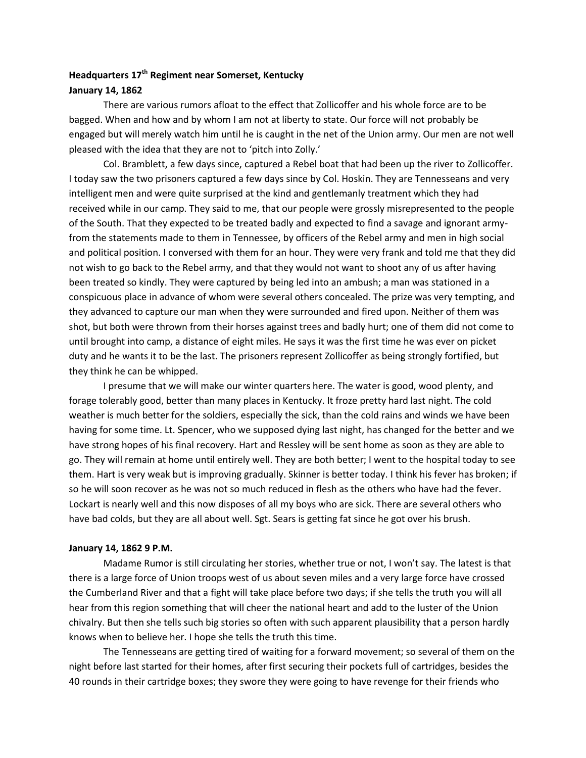## **Headquarters 17th Regiment near Somerset, Kentucky January 14, 1862**

There are various rumors afloat to the effect that Zollicoffer and his whole force are to be bagged. When and how and by whom I am not at liberty to state. Our force will not probably be engaged but will merely watch him until he is caught in the net of the Union army. Our men are not well pleased with the idea that they are not to 'pitch into Zolly.'

Col. Bramblett, a few days since, captured a Rebel boat that had been up the river to Zollicoffer. I today saw the two prisoners captured a few days since by Col. Hoskin. They are Tennesseans and very intelligent men and were quite surprised at the kind and gentlemanly treatment which they had received while in our camp. They said to me, that our people were grossly misrepresented to the people of the South. That they expected to be treated badly and expected to find a savage and ignorant armyfrom the statements made to them in Tennessee, by officers of the Rebel army and men in high social and political position. I conversed with them for an hour. They were very frank and told me that they did not wish to go back to the Rebel army, and that they would not want to shoot any of us after having been treated so kindly. They were captured by being led into an ambush; a man was stationed in a conspicuous place in advance of whom were several others concealed. The prize was very tempting, and they advanced to capture our man when they were surrounded and fired upon. Neither of them was shot, but both were thrown from their horses against trees and badly hurt; one of them did not come to until brought into camp, a distance of eight miles. He says it was the first time he was ever on picket duty and he wants it to be the last. The prisoners represent Zollicoffer as being strongly fortified, but they think he can be whipped.

I presume that we will make our winter quarters here. The water is good, wood plenty, and forage tolerably good, better than many places in Kentucky. It froze pretty hard last night. The cold weather is much better for the soldiers, especially the sick, than the cold rains and winds we have been having for some time. Lt. Spencer, who we supposed dying last night, has changed for the better and we have strong hopes of his final recovery. Hart and Ressley will be sent home as soon as they are able to go. They will remain at home until entirely well. They are both better; I went to the hospital today to see them. Hart is very weak but is improving gradually. Skinner is better today. I think his fever has broken; if so he will soon recover as he was not so much reduced in flesh as the others who have had the fever. Lockart is nearly well and this now disposes of all my boys who are sick. There are several others who have bad colds, but they are all about well. Sgt. Sears is getting fat since he got over his brush.

#### **January 14, 1862 9 P.M.**

Madame Rumor is still circulating her stories, whether true or not, I won't say. The latest is that there is a large force of Union troops west of us about seven miles and a very large force have crossed the Cumberland River and that a fight will take place before two days; if she tells the truth you will all hear from this region something that will cheer the national heart and add to the luster of the Union chivalry. But then she tells such big stories so often with such apparent plausibility that a person hardly knows when to believe her. I hope she tells the truth this time.

The Tennesseans are getting tired of waiting for a forward movement; so several of them on the night before last started for their homes, after first securing their pockets full of cartridges, besides the 40 rounds in their cartridge boxes; they swore they were going to have revenge for their friends who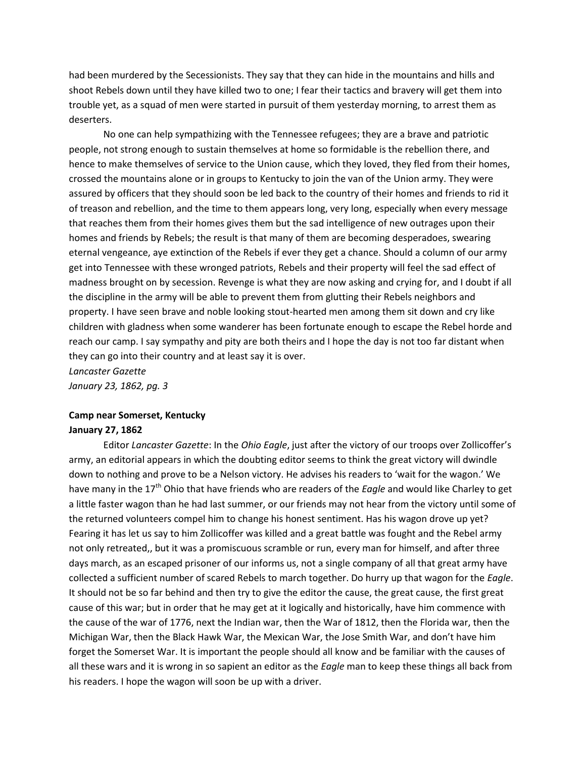had been murdered by the Secessionists. They say that they can hide in the mountains and hills and shoot Rebels down until they have killed two to one; I fear their tactics and bravery will get them into trouble yet, as a squad of men were started in pursuit of them yesterday morning, to arrest them as deserters.

No one can help sympathizing with the Tennessee refugees; they are a brave and patriotic people, not strong enough to sustain themselves at home so formidable is the rebellion there, and hence to make themselves of service to the Union cause, which they loved, they fled from their homes, crossed the mountains alone or in groups to Kentucky to join the van of the Union army. They were assured by officers that they should soon be led back to the country of their homes and friends to rid it of treason and rebellion, and the time to them appears long, very long, especially when every message that reaches them from their homes gives them but the sad intelligence of new outrages upon their homes and friends by Rebels; the result is that many of them are becoming desperadoes, swearing eternal vengeance, aye extinction of the Rebels if ever they get a chance. Should a column of our army get into Tennessee with these wronged patriots, Rebels and their property will feel the sad effect of madness brought on by secession. Revenge is what they are now asking and crying for, and I doubt if all the discipline in the army will be able to prevent them from glutting their Rebels neighbors and property. I have seen brave and noble looking stout-hearted men among them sit down and cry like children with gladness when some wanderer has been fortunate enough to escape the Rebel horde and reach our camp. I say sympathy and pity are both theirs and I hope the day is not too far distant when they can go into their country and at least say it is over.

*Lancaster Gazette January 23, 1862, pg. 3*

# **Camp near Somerset, Kentucky**

## **January 27, 1862**

Editor *Lancaster Gazette*: In the *Ohio Eagle*, just after the victory of our troops over Zollicoffer's army, an editorial appears in which the doubting editor seems to think the great victory will dwindle down to nothing and prove to be a Nelson victory. He advises his readers to 'wait for the wagon.' We have many in the 17<sup>th</sup> Ohio that have friends who are readers of the *Eagle* and would like Charley to get a little faster wagon than he had last summer, or our friends may not hear from the victory until some of the returned volunteers compel him to change his honest sentiment. Has his wagon drove up yet? Fearing it has let us say to him Zollicoffer was killed and a great battle was fought and the Rebel army not only retreated,, but it was a promiscuous scramble or run, every man for himself, and after three days march, as an escaped prisoner of our informs us, not a single company of all that great army have collected a sufficient number of scared Rebels to march together. Do hurry up that wagon for the *Eagle*. It should not be so far behind and then try to give the editor the cause, the great cause, the first great cause of this war; but in order that he may get at it logically and historically, have him commence with the cause of the war of 1776, next the Indian war, then the War of 1812, then the Florida war, then the Michigan War, then the Black Hawk War, the Mexican War, the Jose Smith War, and don't have him forget the Somerset War. It is important the people should all know and be familiar with the causes of all these wars and it is wrong in so sapient an editor as the *Eagle* man to keep these things all back from his readers. I hope the wagon will soon be up with a driver.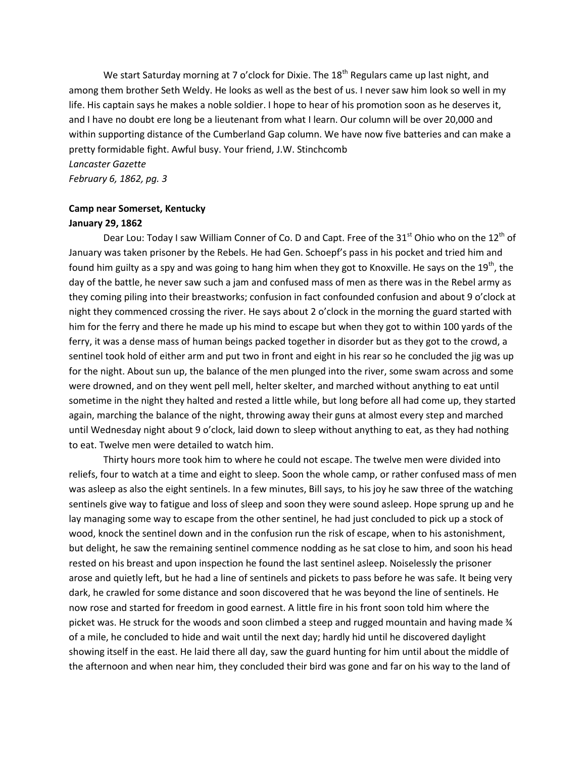We start Saturday morning at 7 o'clock for Dixie. The  $18<sup>th</sup>$  Regulars came up last night, and among them brother Seth Weldy. He looks as well as the best of us. I never saw him look so well in my life. His captain says he makes a noble soldier. I hope to hear of his promotion soon as he deserves it, and I have no doubt ere long be a lieutenant from what I learn. Our column will be over 20,000 and within supporting distance of the Cumberland Gap column. We have now five batteries and can make a pretty formidable fight. Awful busy. Your friend, J.W. Stinchcomb *Lancaster Gazette*

*February 6, 1862, pg. 3*

#### **Camp near Somerset, Kentucky**

#### **January 29, 1862**

Dear Lou: Today I saw William Conner of Co. D and Capt. Free of the  $31<sup>st</sup>$  Ohio who on the  $12<sup>th</sup>$  of January was taken prisoner by the Rebels. He had Gen. Schoepf's pass in his pocket and tried him and found him guilty as a spy and was going to hang him when they got to Knoxville. He says on the 19<sup>th</sup>, the day of the battle, he never saw such a jam and confused mass of men as there was in the Rebel army as they coming piling into their breastworks; confusion in fact confounded confusion and about 9 o'clock at night they commenced crossing the river. He says about 2 o'clock in the morning the guard started with him for the ferry and there he made up his mind to escape but when they got to within 100 yards of the ferry, it was a dense mass of human beings packed together in disorder but as they got to the crowd, a sentinel took hold of either arm and put two in front and eight in his rear so he concluded the jig was up for the night. About sun up, the balance of the men plunged into the river, some swam across and some were drowned, and on they went pell mell, helter skelter, and marched without anything to eat until sometime in the night they halted and rested a little while, but long before all had come up, they started again, marching the balance of the night, throwing away their guns at almost every step and marched until Wednesday night about 9 o'clock, laid down to sleep without anything to eat, as they had nothing to eat. Twelve men were detailed to watch him.

Thirty hours more took him to where he could not escape. The twelve men were divided into reliefs, four to watch at a time and eight to sleep. Soon the whole camp, or rather confused mass of men was asleep as also the eight sentinels. In a few minutes, Bill says, to his joy he saw three of the watching sentinels give way to fatigue and loss of sleep and soon they were sound asleep. Hope sprung up and he lay managing some way to escape from the other sentinel, he had just concluded to pick up a stock of wood, knock the sentinel down and in the confusion run the risk of escape, when to his astonishment, but delight, he saw the remaining sentinel commence nodding as he sat close to him, and soon his head rested on his breast and upon inspection he found the last sentinel asleep. Noiselessly the prisoner arose and quietly left, but he had a line of sentinels and pickets to pass before he was safe. It being very dark, he crawled for some distance and soon discovered that he was beyond the line of sentinels. He now rose and started for freedom in good earnest. A little fire in his front soon told him where the picket was. He struck for the woods and soon climbed a steep and rugged mountain and having made  $\frac{1}{4}$ of a mile, he concluded to hide and wait until the next day; hardly hid until he discovered daylight showing itself in the east. He laid there all day, saw the guard hunting for him until about the middle of the afternoon and when near him, they concluded their bird was gone and far on his way to the land of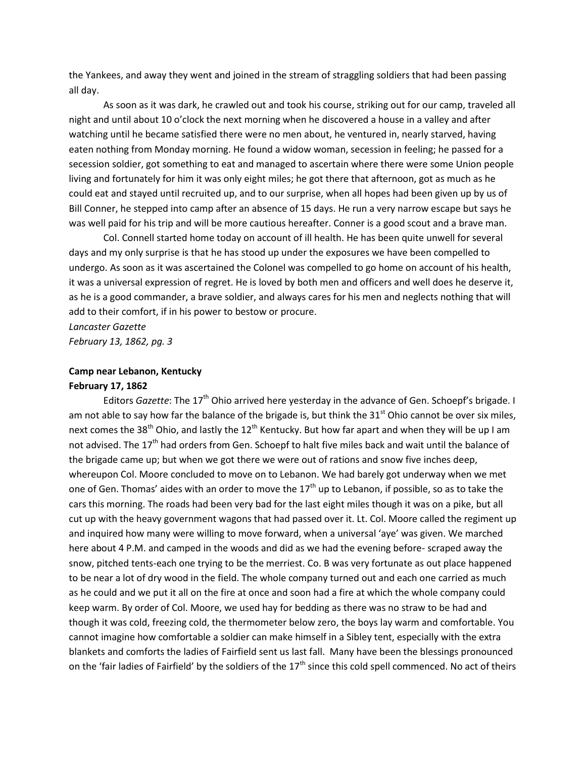the Yankees, and away they went and joined in the stream of straggling soldiers that had been passing all day.

As soon as it was dark, he crawled out and took his course, striking out for our camp, traveled all night and until about 10 o'clock the next morning when he discovered a house in a valley and after watching until he became satisfied there were no men about, he ventured in, nearly starved, having eaten nothing from Monday morning. He found a widow woman, secession in feeling; he passed for a secession soldier, got something to eat and managed to ascertain where there were some Union people living and fortunately for him it was only eight miles; he got there that afternoon, got as much as he could eat and stayed until recruited up, and to our surprise, when all hopes had been given up by us of Bill Conner, he stepped into camp after an absence of 15 days. He run a very narrow escape but says he was well paid for his trip and will be more cautious hereafter. Conner is a good scout and a brave man.

Col. Connell started home today on account of ill health. He has been quite unwell for several days and my only surprise is that he has stood up under the exposures we have been compelled to undergo. As soon as it was ascertained the Colonel was compelled to go home on account of his health, it was a universal expression of regret. He is loved by both men and officers and well does he deserve it, as he is a good commander, a brave soldier, and always cares for his men and neglects nothing that will add to their comfort, if in his power to bestow or procure.

*Lancaster Gazette February 13, 1862, pg. 3*

### **Camp near Lebanon, Kentucky February 17, 1862**

Editors *Gazette*: The 17<sup>th</sup> Ohio arrived here yesterday in the advance of Gen. Schoepf's brigade. I am not able to say how far the balance of the brigade is, but think the 31 $^{\rm st}$  Ohio cannot be over six miles, next comes the 38<sup>th</sup> Ohio, and lastly the 12<sup>th</sup> Kentucky. But how far apart and when they will be up I am not advised. The 17<sup>th</sup> had orders from Gen. Schoepf to halt five miles back and wait until the balance of the brigade came up; but when we got there we were out of rations and snow five inches deep, whereupon Col. Moore concluded to move on to Lebanon. We had barely got underway when we met one of Gen. Thomas' aides with an order to move the  $17<sup>th</sup>$  up to Lebanon, if possible, so as to take the cars this morning. The roads had been very bad for the last eight miles though it was on a pike, but all cut up with the heavy government wagons that had passed over it. Lt. Col. Moore called the regiment up and inquired how many were willing to move forward, when a universal 'aye' was given. We marched here about 4 P.M. and camped in the woods and did as we had the evening before- scraped away the snow, pitched tents-each one trying to be the merriest. Co. B was very fortunate as out place happened to be near a lot of dry wood in the field. The whole company turned out and each one carried as much as he could and we put it all on the fire at once and soon had a fire at which the whole company could keep warm. By order of Col. Moore, we used hay for bedding as there was no straw to be had and though it was cold, freezing cold, the thermometer below zero, the boys lay warm and comfortable. You cannot imagine how comfortable a soldier can make himself in a Sibley tent, especially with the extra blankets and comforts the ladies of Fairfield sent us last fall. Many have been the blessings pronounced on the 'fair ladies of Fairfield' by the soldiers of the 17<sup>th</sup> since this cold spell commenced. No act of theirs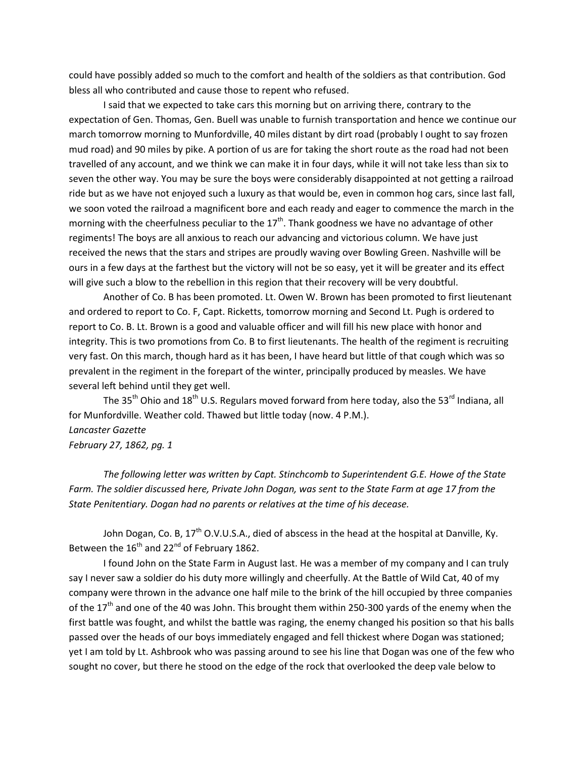could have possibly added so much to the comfort and health of the soldiers as that contribution. God bless all who contributed and cause those to repent who refused.

I said that we expected to take cars this morning but on arriving there, contrary to the expectation of Gen. Thomas, Gen. Buell was unable to furnish transportation and hence we continue our march tomorrow morning to Munfordville, 40 miles distant by dirt road (probably I ought to say frozen mud road) and 90 miles by pike. A portion of us are for taking the short route as the road had not been travelled of any account, and we think we can make it in four days, while it will not take less than six to seven the other way. You may be sure the boys were considerably disappointed at not getting a railroad ride but as we have not enjoyed such a luxury as that would be, even in common hog cars, since last fall, we soon voted the railroad a magnificent bore and each ready and eager to commence the march in the morning with the cheerfulness peculiar to the  $17<sup>th</sup>$ . Thank goodness we have no advantage of other regiments! The boys are all anxious to reach our advancing and victorious column. We have just received the news that the stars and stripes are proudly waving over Bowling Green. Nashville will be ours in a few days at the farthest but the victory will not be so easy, yet it will be greater and its effect will give such a blow to the rebellion in this region that their recovery will be very doubtful.

Another of Co. B has been promoted. Lt. Owen W. Brown has been promoted to first lieutenant and ordered to report to Co. F, Capt. Ricketts, tomorrow morning and Second Lt. Pugh is ordered to report to Co. B. Lt. Brown is a good and valuable officer and will fill his new place with honor and integrity. This is two promotions from Co. B to first lieutenants. The health of the regiment is recruiting very fast. On this march, though hard as it has been, I have heard but little of that cough which was so prevalent in the regiment in the forepart of the winter, principally produced by measles. We have several left behind until they get well.

The 35<sup>th</sup> Ohio and 18<sup>th</sup> U.S. Regulars moved forward from here today, also the 53<sup>rd</sup> Indiana, all for Munfordville. Weather cold. Thawed but little today (now. 4 P.M.). *Lancaster Gazette February 27, 1862, pg. 1*

*The following letter was written by Capt. Stinchcomb to Superintendent G.E. Howe of the State Farm. The soldier discussed here, Private John Dogan, was sent to the State Farm at age 17 from the State Penitentiary. Dogan had no parents or relatives at the time of his decease.*

John Dogan, Co. B, 17<sup>th</sup> O.V.U.S.A., died of abscess in the head at the hospital at Danville, Ky. Between the  $16^{\text{th}}$  and 22<sup>nd</sup> of February 1862.

I found John on the State Farm in August last. He was a member of my company and I can truly say I never saw a soldier do his duty more willingly and cheerfully. At the Battle of Wild Cat, 40 of my company were thrown in the advance one half mile to the brink of the hill occupied by three companies of the 17<sup>th</sup> and one of the 40 was John. This brought them within 250-300 yards of the enemy when the first battle was fought, and whilst the battle was raging, the enemy changed his position so that his balls passed over the heads of our boys immediately engaged and fell thickest where Dogan was stationed; yet I am told by Lt. Ashbrook who was passing around to see his line that Dogan was one of the few who sought no cover, but there he stood on the edge of the rock that overlooked the deep vale below to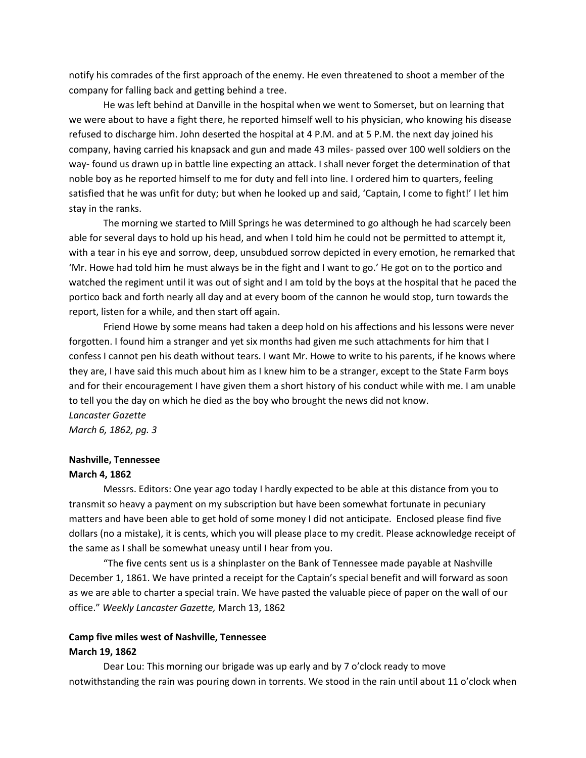notify his comrades of the first approach of the enemy. He even threatened to shoot a member of the company for falling back and getting behind a tree.

He was left behind at Danville in the hospital when we went to Somerset, but on learning that we were about to have a fight there, he reported himself well to his physician, who knowing his disease refused to discharge him. John deserted the hospital at 4 P.M. and at 5 P.M. the next day joined his company, having carried his knapsack and gun and made 43 miles- passed over 100 well soldiers on the way- found us drawn up in battle line expecting an attack. I shall never forget the determination of that noble boy as he reported himself to me for duty and fell into line. I ordered him to quarters, feeling satisfied that he was unfit for duty; but when he looked up and said, 'Captain, I come to fight!' I let him stay in the ranks.

The morning we started to Mill Springs he was determined to go although he had scarcely been able for several days to hold up his head, and when I told him he could not be permitted to attempt it, with a tear in his eye and sorrow, deep, unsubdued sorrow depicted in every emotion, he remarked that 'Mr. Howe had told him he must always be in the fight and I want to go.' He got on to the portico and watched the regiment until it was out of sight and I am told by the boys at the hospital that he paced the portico back and forth nearly all day and at every boom of the cannon he would stop, turn towards the report, listen for a while, and then start off again.

Friend Howe by some means had taken a deep hold on his affections and his lessons were never forgotten. I found him a stranger and yet six months had given me such attachments for him that I confess I cannot pen his death without tears. I want Mr. Howe to write to his parents, if he knows where they are, I have said this much about him as I knew him to be a stranger, except to the State Farm boys and for their encouragement I have given them a short history of his conduct while with me. I am unable to tell you the day on which he died as the boy who brought the news did not know. *Lancaster Gazette*

*March 6, 1862, pg. 3*

#### **Nashville, Tennessee**

#### **March 4, 1862**

Messrs. Editors: One year ago today I hardly expected to be able at this distance from you to transmit so heavy a payment on my subscription but have been somewhat fortunate in pecuniary matters and have been able to get hold of some money I did not anticipate. Enclosed please find five dollars (no a mistake), it is cents, which you will please place to my credit. Please acknowledge receipt of the same as I shall be somewhat uneasy until I hear from you.

"The five cents sent us is a shinplaster on the Bank of Tennessee made payable at Nashville December 1, 1861. We have printed a receipt for the Captain's special benefit and will forward as soon as we are able to charter a special train. We have pasted the valuable piece of paper on the wall of our office." *Weekly Lancaster Gazette,* March 13, 1862

#### **Camp five miles west of Nashville, Tennessee**

#### **March 19, 1862**

Dear Lou: This morning our brigade was up early and by 7 o'clock ready to move notwithstanding the rain was pouring down in torrents. We stood in the rain until about 11 o'clock when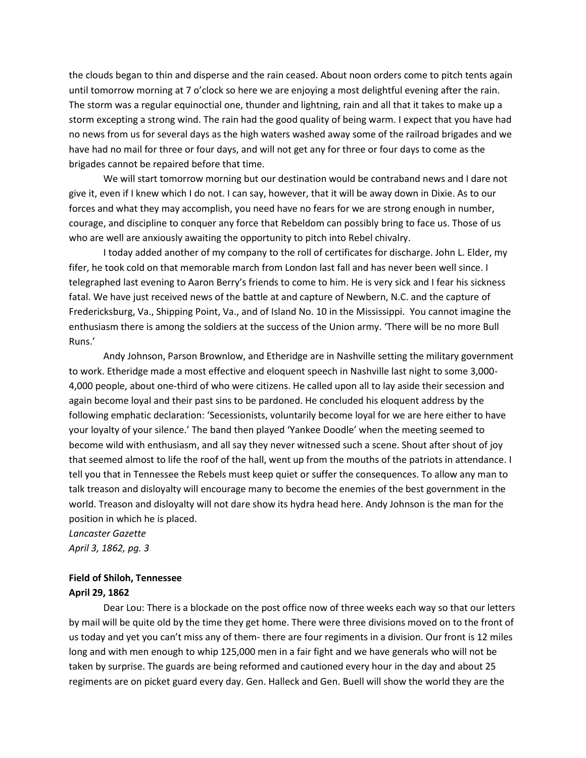the clouds began to thin and disperse and the rain ceased. About noon orders come to pitch tents again until tomorrow morning at 7 o'clock so here we are enjoying a most delightful evening after the rain. The storm was a regular equinoctial one, thunder and lightning, rain and all that it takes to make up a storm excepting a strong wind. The rain had the good quality of being warm. I expect that you have had no news from us for several days as the high waters washed away some of the railroad brigades and we have had no mail for three or four days, and will not get any for three or four days to come as the brigades cannot be repaired before that time.

We will start tomorrow morning but our destination would be contraband news and I dare not give it, even if I knew which I do not. I can say, however, that it will be away down in Dixie. As to our forces and what they may accomplish, you need have no fears for we are strong enough in number, courage, and discipline to conquer any force that Rebeldom can possibly bring to face us. Those of us who are well are anxiously awaiting the opportunity to pitch into Rebel chivalry.

I today added another of my company to the roll of certificates for discharge. John L. Elder, my fifer, he took cold on that memorable march from London last fall and has never been well since. I telegraphed last evening to Aaron Berry's friends to come to him. He is very sick and I fear his sickness fatal. We have just received news of the battle at and capture of Newbern, N.C. and the capture of Fredericksburg, Va., Shipping Point, Va., and of Island No. 10 in the Mississippi. You cannot imagine the enthusiasm there is among the soldiers at the success of the Union army. 'There will be no more Bull Runs.'

Andy Johnson, Parson Brownlow, and Etheridge are in Nashville setting the military government to work. Etheridge made a most effective and eloquent speech in Nashville last night to some 3,000- 4,000 people, about one-third of who were citizens. He called upon all to lay aside their secession and again become loyal and their past sins to be pardoned. He concluded his eloquent address by the following emphatic declaration: 'Secessionists, voluntarily become loyal for we are here either to have your loyalty of your silence.' The band then played 'Yankee Doodle' when the meeting seemed to become wild with enthusiasm, and all say they never witnessed such a scene. Shout after shout of joy that seemed almost to life the roof of the hall, went up from the mouths of the patriots in attendance. I tell you that in Tennessee the Rebels must keep quiet or suffer the consequences. To allow any man to talk treason and disloyalty will encourage many to become the enemies of the best government in the world. Treason and disloyalty will not dare show its hydra head here. Andy Johnson is the man for the position in which he is placed.

*Lancaster Gazette April 3, 1862, pg. 3*

## **Field of Shiloh, Tennessee April 29, 1862**

Dear Lou: There is a blockade on the post office now of three weeks each way so that our letters by mail will be quite old by the time they get home. There were three divisions moved on to the front of us today and yet you can't miss any of them- there are four regiments in a division. Our front is 12 miles long and with men enough to whip 125,000 men in a fair fight and we have generals who will not be taken by surprise. The guards are being reformed and cautioned every hour in the day and about 25 regiments are on picket guard every day. Gen. Halleck and Gen. Buell will show the world they are the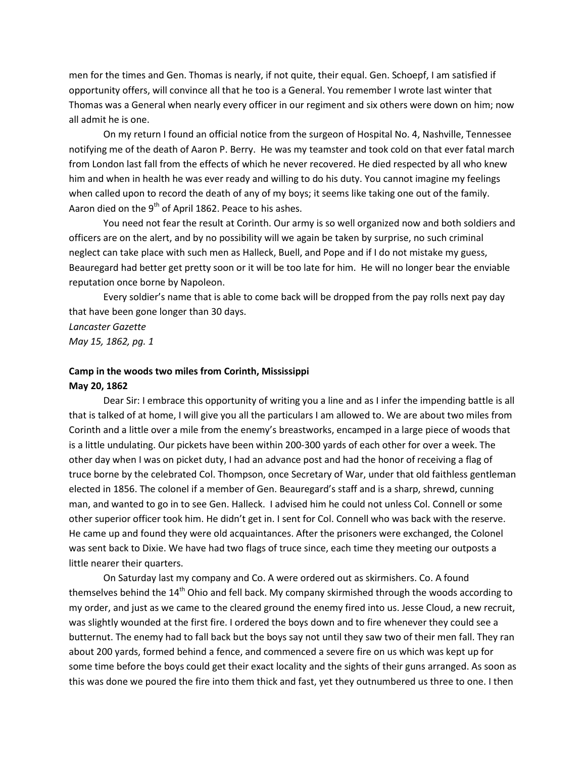men for the times and Gen. Thomas is nearly, if not quite, their equal. Gen. Schoepf, I am satisfied if opportunity offers, will convince all that he too is a General. You remember I wrote last winter that Thomas was a General when nearly every officer in our regiment and six others were down on him; now all admit he is one.

On my return I found an official notice from the surgeon of Hospital No. 4, Nashville, Tennessee notifying me of the death of Aaron P. Berry. He was my teamster and took cold on that ever fatal march from London last fall from the effects of which he never recovered. He died respected by all who knew him and when in health he was ever ready and willing to do his duty. You cannot imagine my feelings when called upon to record the death of any of my boys; it seems like taking one out of the family. Aaron died on the  $9<sup>th</sup>$  of April 1862. Peace to his ashes.

You need not fear the result at Corinth. Our army is so well organized now and both soldiers and officers are on the alert, and by no possibility will we again be taken by surprise, no such criminal neglect can take place with such men as Halleck, Buell, and Pope and if I do not mistake my guess, Beauregard had better get pretty soon or it will be too late for him. He will no longer bear the enviable reputation once borne by Napoleon.

Every soldier's name that is able to come back will be dropped from the pay rolls next pay day that have been gone longer than 30 days.

*Lancaster Gazette May 15, 1862, pg. 1*

### **Camp in the woods two miles from Corinth, Mississippi May 20, 1862**

Dear Sir: I embrace this opportunity of writing you a line and as I infer the impending battle is all that is talked of at home, I will give you all the particulars I am allowed to. We are about two miles from Corinth and a little over a mile from the enemy's breastworks, encamped in a large piece of woods that is a little undulating. Our pickets have been within 200-300 yards of each other for over a week. The other day when I was on picket duty, I had an advance post and had the honor of receiving a flag of truce borne by the celebrated Col. Thompson, once Secretary of War, under that old faithless gentleman elected in 1856. The colonel if a member of Gen. Beauregard's staff and is a sharp, shrewd, cunning man, and wanted to go in to see Gen. Halleck. I advised him he could not unless Col. Connell or some other superior officer took him. He didn't get in. I sent for Col. Connell who was back with the reserve. He came up and found they were old acquaintances. After the prisoners were exchanged, the Colonel was sent back to Dixie. We have had two flags of truce since, each time they meeting our outposts a little nearer their quarters.

On Saturday last my company and Co. A were ordered out as skirmishers. Co. A found themselves behind the 14<sup>th</sup> Ohio and fell back. My company skirmished through the woods according to my order, and just as we came to the cleared ground the enemy fired into us. Jesse Cloud, a new recruit, was slightly wounded at the first fire. I ordered the boys down and to fire whenever they could see a butternut. The enemy had to fall back but the boys say not until they saw two of their men fall. They ran about 200 yards, formed behind a fence, and commenced a severe fire on us which was kept up for some time before the boys could get their exact locality and the sights of their guns arranged. As soon as this was done we poured the fire into them thick and fast, yet they outnumbered us three to one. I then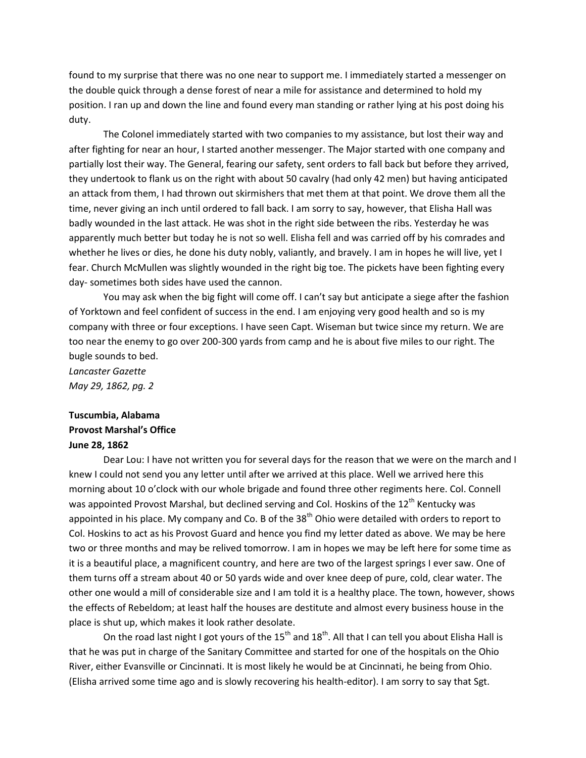found to my surprise that there was no one near to support me. I immediately started a messenger on the double quick through a dense forest of near a mile for assistance and determined to hold my position. I ran up and down the line and found every man standing or rather lying at his post doing his duty.

The Colonel immediately started with two companies to my assistance, but lost their way and after fighting for near an hour, I started another messenger. The Major started with one company and partially lost their way. The General, fearing our safety, sent orders to fall back but before they arrived, they undertook to flank us on the right with about 50 cavalry (had only 42 men) but having anticipated an attack from them, I had thrown out skirmishers that met them at that point. We drove them all the time, never giving an inch until ordered to fall back. I am sorry to say, however, that Elisha Hall was badly wounded in the last attack. He was shot in the right side between the ribs. Yesterday he was apparently much better but today he is not so well. Elisha fell and was carried off by his comrades and whether he lives or dies, he done his duty nobly, valiantly, and bravely. I am in hopes he will live, yet I fear. Church McMullen was slightly wounded in the right big toe. The pickets have been fighting every day- sometimes both sides have used the cannon.

You may ask when the big fight will come off. I can't say but anticipate a siege after the fashion of Yorktown and feel confident of success in the end. I am enjoying very good health and so is my company with three or four exceptions. I have seen Capt. Wiseman but twice since my return. We are too near the enemy to go over 200-300 yards from camp and he is about five miles to our right. The bugle sounds to bed.

*Lancaster Gazette May 29, 1862, pg. 2*

## **Tuscumbia, Alabama Provost Marshal's Office June 28, 1862**

Dear Lou: I have not written you for several days for the reason that we were on the march and I knew I could not send you any letter until after we arrived at this place. Well we arrived here this morning about 10 o'clock with our whole brigade and found three other regiments here. Col. Connell was appointed Provost Marshal, but declined serving and Col. Hoskins of the 12<sup>th</sup> Kentucky was appointed in his place. My company and Co. B of the  $38<sup>th</sup>$  Ohio were detailed with orders to report to Col. Hoskins to act as his Provost Guard and hence you find my letter dated as above. We may be here two or three months and may be relived tomorrow. I am in hopes we may be left here for some time as it is a beautiful place, a magnificent country, and here are two of the largest springs I ever saw. One of them turns off a stream about 40 or 50 yards wide and over knee deep of pure, cold, clear water. The other one would a mill of considerable size and I am told it is a healthy place. The town, however, shows the effects of Rebeldom; at least half the houses are destitute and almost every business house in the place is shut up, which makes it look rather desolate.

On the road last night I got yours of the 15<sup>th</sup> and 18<sup>th</sup>. All that I can tell you about Elisha Hall is that he was put in charge of the Sanitary Committee and started for one of the hospitals on the Ohio River, either Evansville or Cincinnati. It is most likely he would be at Cincinnati, he being from Ohio. (Elisha arrived some time ago and is slowly recovering his health-editor). I am sorry to say that Sgt.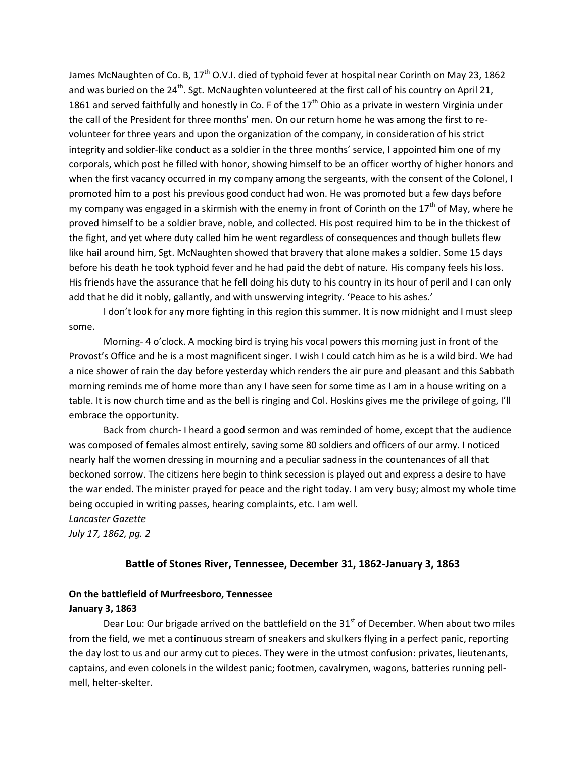James McNaughten of Co. B, 17<sup>th</sup> O.V.I. died of typhoid fever at hospital near Corinth on May 23, 1862 and was buried on the 24<sup>th</sup>. Sgt. McNaughten volunteered at the first call of his country on April 21, 1861 and served faithfully and honestly in Co. F of the  $17<sup>th</sup>$  Ohio as a private in western Virginia under the call of the President for three months' men. On our return home he was among the first to revolunteer for three years and upon the organization of the company, in consideration of his strict integrity and soldier-like conduct as a soldier in the three months' service, I appointed him one of my corporals, which post he filled with honor, showing himself to be an officer worthy of higher honors and when the first vacancy occurred in my company among the sergeants, with the consent of the Colonel, I promoted him to a post his previous good conduct had won. He was promoted but a few days before my company was engaged in a skirmish with the enemy in front of Corinth on the  $17<sup>th</sup>$  of May, where he proved himself to be a soldier brave, noble, and collected. His post required him to be in the thickest of the fight, and yet where duty called him he went regardless of consequences and though bullets flew like hail around him, Sgt. McNaughten showed that bravery that alone makes a soldier. Some 15 days before his death he took typhoid fever and he had paid the debt of nature. His company feels his loss. His friends have the assurance that he fell doing his duty to his country in its hour of peril and I can only add that he did it nobly, gallantly, and with unswerving integrity. 'Peace to his ashes.'

I don't look for any more fighting in this region this summer. It is now midnight and I must sleep some.

Morning- 4 o'clock. A mocking bird is trying his vocal powers this morning just in front of the Provost's Office and he is a most magnificent singer. I wish I could catch him as he is a wild bird. We had a nice shower of rain the day before yesterday which renders the air pure and pleasant and this Sabbath morning reminds me of home more than any I have seen for some time as I am in a house writing on a table. It is now church time and as the bell is ringing and Col. Hoskins gives me the privilege of going, I'll embrace the opportunity.

Back from church- I heard a good sermon and was reminded of home, except that the audience was composed of females almost entirely, saving some 80 soldiers and officers of our army. I noticed nearly half the women dressing in mourning and a peculiar sadness in the countenances of all that beckoned sorrow. The citizens here begin to think secession is played out and express a desire to have the war ended. The minister prayed for peace and the right today. I am very busy; almost my whole time being occupied in writing passes, hearing complaints, etc. I am well.

*Lancaster Gazette*

*July 17, 1862, pg. 2*

#### **Battle of Stones River, Tennessee, December 31, 1862-January 3, 1863**

## **On the battlefield of Murfreesboro, Tennessee January 3, 1863**

Dear Lou: Our brigade arrived on the battlefield on the  $31<sup>st</sup>$  of December. When about two miles from the field, we met a continuous stream of sneakers and skulkers flying in a perfect panic, reporting the day lost to us and our army cut to pieces. They were in the utmost confusion: privates, lieutenants, captains, and even colonels in the wildest panic; footmen, cavalrymen, wagons, batteries running pellmell, helter-skelter.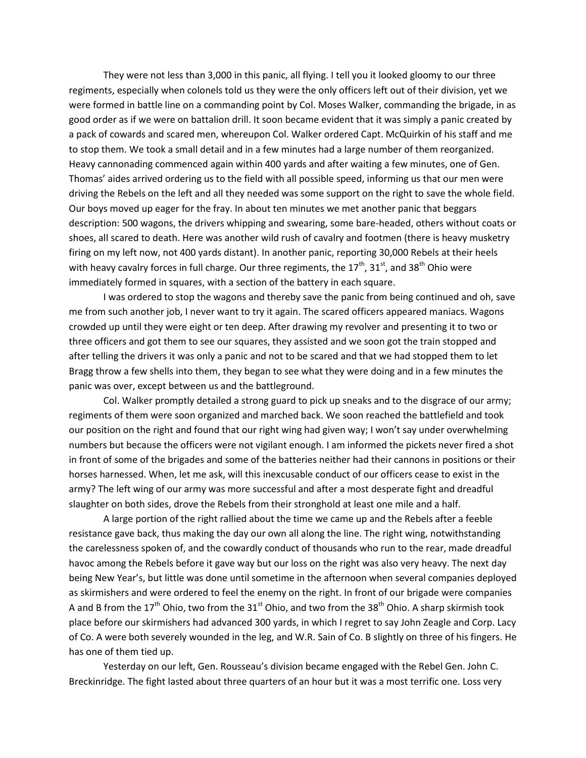They were not less than 3,000 in this panic, all flying. I tell you it looked gloomy to our three regiments, especially when colonels told us they were the only officers left out of their division, yet we were formed in battle line on a commanding point by Col. Moses Walker, commanding the brigade, in as good order as if we were on battalion drill. It soon became evident that it was simply a panic created by a pack of cowards and scared men, whereupon Col. Walker ordered Capt. McQuirkin of his staff and me to stop them. We took a small detail and in a few minutes had a large number of them reorganized. Heavy cannonading commenced again within 400 yards and after waiting a few minutes, one of Gen. Thomas' aides arrived ordering us to the field with all possible speed, informing us that our men were driving the Rebels on the left and all they needed was some support on the right to save the whole field. Our boys moved up eager for the fray. In about ten minutes we met another panic that beggars description: 500 wagons, the drivers whipping and swearing, some bare-headed, others without coats or shoes, all scared to death. Here was another wild rush of cavalry and footmen (there is heavy musketry firing on my left now, not 400 yards distant). In another panic, reporting 30,000 Rebels at their heels with heavy cavalry forces in full charge. Our three regiments, the  $17^{th}$ ,  $31^{st}$ , and  $38^{th}$  Ohio were immediately formed in squares, with a section of the battery in each square.

I was ordered to stop the wagons and thereby save the panic from being continued and oh, save me from such another job, I never want to try it again. The scared officers appeared maniacs. Wagons crowded up until they were eight or ten deep. After drawing my revolver and presenting it to two or three officers and got them to see our squares, they assisted and we soon got the train stopped and after telling the drivers it was only a panic and not to be scared and that we had stopped them to let Bragg throw a few shells into them, they began to see what they were doing and in a few minutes the panic was over, except between us and the battleground.

Col. Walker promptly detailed a strong guard to pick up sneaks and to the disgrace of our army; regiments of them were soon organized and marched back. We soon reached the battlefield and took our position on the right and found that our right wing had given way; I won't say under overwhelming numbers but because the officers were not vigilant enough. I am informed the pickets never fired a shot in front of some of the brigades and some of the batteries neither had their cannons in positions or their horses harnessed. When, let me ask, will this inexcusable conduct of our officers cease to exist in the army? The left wing of our army was more successful and after a most desperate fight and dreadful slaughter on both sides, drove the Rebels from their stronghold at least one mile and a half.

A large portion of the right rallied about the time we came up and the Rebels after a feeble resistance gave back, thus making the day our own all along the line. The right wing, notwithstanding the carelessness spoken of, and the cowardly conduct of thousands who run to the rear, made dreadful havoc among the Rebels before it gave way but our loss on the right was also very heavy. The next day being New Year's, but little was done until sometime in the afternoon when several companies deployed as skirmishers and were ordered to feel the enemy on the right. In front of our brigade were companies A and B from the 17<sup>th</sup> Ohio, two from the 31<sup>st</sup> Ohio, and two from the 38<sup>th</sup> Ohio. A sharp skirmish took place before our skirmishers had advanced 300 yards, in which I regret to say John Zeagle and Corp. Lacy of Co. A were both severely wounded in the leg, and W.R. Sain of Co. B slightly on three of his fingers. He has one of them tied up.

Yesterday on our left, Gen. Rousseau's division became engaged with the Rebel Gen. John C. Breckinridge. The fight lasted about three quarters of an hour but it was a most terrific one. Loss very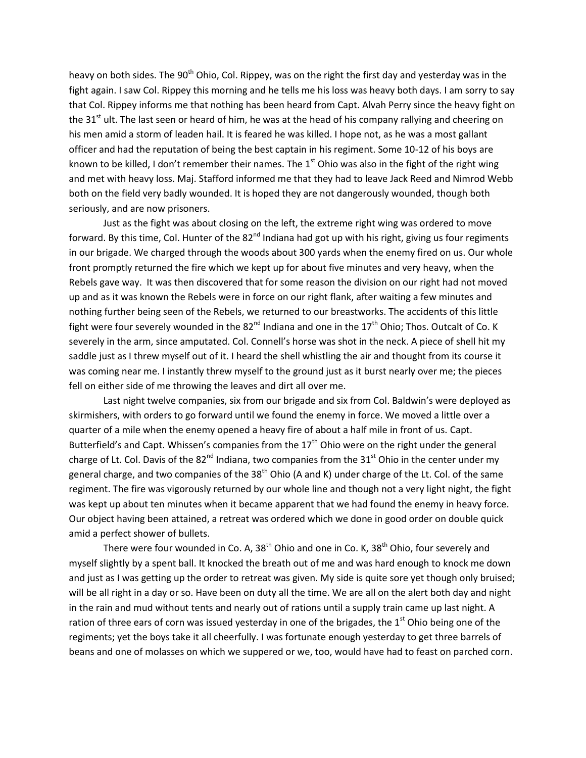heavy on both sides. The 90<sup>th</sup> Ohio, Col. Rippey, was on the right the first day and yesterday was in the fight again. I saw Col. Rippey this morning and he tells me his loss was heavy both days. I am sorry to say that Col. Rippey informs me that nothing has been heard from Capt. Alvah Perry since the heavy fight on the 31 $<sup>st</sup>$  ult. The last seen or heard of him, he was at the head of his company rallying and cheering on</sup> his men amid a storm of leaden hail. It is feared he was killed. I hope not, as he was a most gallant officer and had the reputation of being the best captain in his regiment. Some 10-12 of his boys are known to be killed, I don't remember their names. The  $1<sup>st</sup>$  Ohio was also in the fight of the right wing and met with heavy loss. Maj. Stafford informed me that they had to leave Jack Reed and Nimrod Webb both on the field very badly wounded. It is hoped they are not dangerously wounded, though both seriously, and are now prisoners.

Just as the fight was about closing on the left, the extreme right wing was ordered to move forward. By this time, Col. Hunter of the  $82^{nd}$  Indiana had got up with his right, giving us four regiments in our brigade. We charged through the woods about 300 yards when the enemy fired on us. Our whole front promptly returned the fire which we kept up for about five minutes and very heavy, when the Rebels gave way. It was then discovered that for some reason the division on our right had not moved up and as it was known the Rebels were in force on our right flank, after waiting a few minutes and nothing further being seen of the Rebels, we returned to our breastworks. The accidents of this little fight were four severely wounded in the  $82^{nd}$  Indiana and one in the  $17^{th}$  Ohio; Thos. Outcalt of Co. K severely in the arm, since amputated. Col. Connell's horse was shot in the neck. A piece of shell hit my saddle just as I threw myself out of it. I heard the shell whistling the air and thought from its course it was coming near me. I instantly threw myself to the ground just as it burst nearly over me; the pieces fell on either side of me throwing the leaves and dirt all over me.

Last night twelve companies, six from our brigade and six from Col. Baldwin's were deployed as skirmishers, with orders to go forward until we found the enemy in force. We moved a little over a quarter of a mile when the enemy opened a heavy fire of about a half mile in front of us. Capt. Butterfield's and Capt. Whissen's companies from the  $17<sup>th</sup>$  Ohio were on the right under the general charge of Lt. Col. Davis of the 82<sup>nd</sup> Indiana, two companies from the 31<sup>st</sup> Ohio in the center under my general charge, and two companies of the 38<sup>th</sup> Ohio (A and K) under charge of the Lt. Col. of the same regiment. The fire was vigorously returned by our whole line and though not a very light night, the fight was kept up about ten minutes when it became apparent that we had found the enemy in heavy force. Our object having been attained, a retreat was ordered which we done in good order on double quick amid a perfect shower of bullets.

There were four wounded in Co. A,  $38<sup>th</sup>$  Ohio and one in Co. K,  $38<sup>th</sup>$  Ohio, four severely and myself slightly by a spent ball. It knocked the breath out of me and was hard enough to knock me down and just as I was getting up the order to retreat was given. My side is quite sore yet though only bruised; will be all right in a day or so. Have been on duty all the time. We are all on the alert both day and night in the rain and mud without tents and nearly out of rations until a supply train came up last night. A ration of three ears of corn was issued yesterday in one of the brigades, the  $1<sup>st</sup>$  Ohio being one of the regiments; yet the boys take it all cheerfully. I was fortunate enough yesterday to get three barrels of beans and one of molasses on which we suppered or we, too, would have had to feast on parched corn.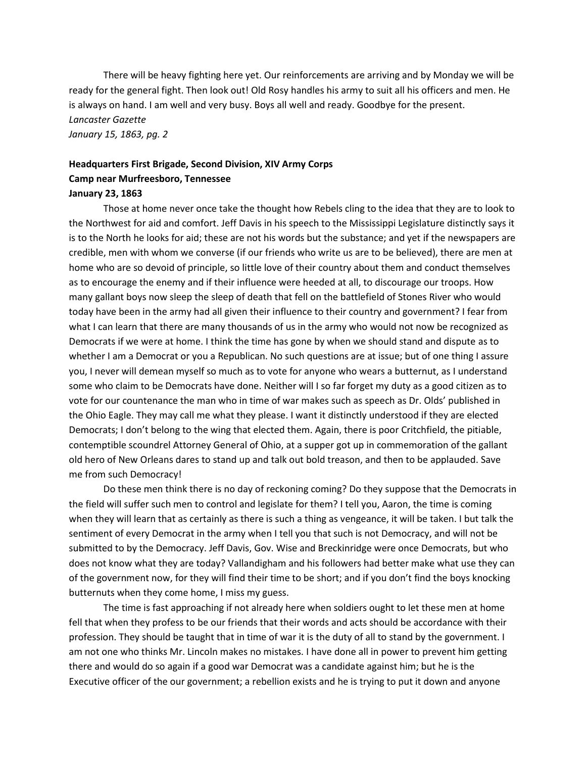There will be heavy fighting here yet. Our reinforcements are arriving and by Monday we will be ready for the general fight. Then look out! Old Rosy handles his army to suit all his officers and men. He is always on hand. I am well and very busy. Boys all well and ready. Goodbye for the present. *Lancaster Gazette January 15, 1863, pg. 2*

## **Headquarters First Brigade, Second Division, XIV Army Corps Camp near Murfreesboro, Tennessee January 23, 1863**

Those at home never once take the thought how Rebels cling to the idea that they are to look to the Northwest for aid and comfort. Jeff Davis in his speech to the Mississippi Legislature distinctly says it is to the North he looks for aid; these are not his words but the substance; and yet if the newspapers are credible, men with whom we converse (if our friends who write us are to be believed), there are men at home who are so devoid of principle, so little love of their country about them and conduct themselves as to encourage the enemy and if their influence were heeded at all, to discourage our troops. How many gallant boys now sleep the sleep of death that fell on the battlefield of Stones River who would today have been in the army had all given their influence to their country and government? I fear from what I can learn that there are many thousands of us in the army who would not now be recognized as Democrats if we were at home. I think the time has gone by when we should stand and dispute as to whether I am a Democrat or you a Republican. No such questions are at issue; but of one thing I assure you, I never will demean myself so much as to vote for anyone who wears a butternut, as I understand some who claim to be Democrats have done. Neither will I so far forget my duty as a good citizen as to vote for our countenance the man who in time of war makes such as speech as Dr. Olds' published in the Ohio Eagle. They may call me what they please. I want it distinctly understood if they are elected Democrats; I don't belong to the wing that elected them. Again, there is poor Critchfield, the pitiable, contemptible scoundrel Attorney General of Ohio, at a supper got up in commemoration of the gallant old hero of New Orleans dares to stand up and talk out bold treason, and then to be applauded. Save me from such Democracy!

Do these men think there is no day of reckoning coming? Do they suppose that the Democrats in the field will suffer such men to control and legislate for them? I tell you, Aaron, the time is coming when they will learn that as certainly as there is such a thing as vengeance, it will be taken. I but talk the sentiment of every Democrat in the army when I tell you that such is not Democracy, and will not be submitted to by the Democracy. Jeff Davis, Gov. Wise and Breckinridge were once Democrats, but who does not know what they are today? Vallandigham and his followers had better make what use they can of the government now, for they will find their time to be short; and if you don't find the boys knocking butternuts when they come home, I miss my guess.

The time is fast approaching if not already here when soldiers ought to let these men at home fell that when they profess to be our friends that their words and acts should be accordance with their profession. They should be taught that in time of war it is the duty of all to stand by the government. I am not one who thinks Mr. Lincoln makes no mistakes. I have done all in power to prevent him getting there and would do so again if a good war Democrat was a candidate against him; but he is the Executive officer of the our government; a rebellion exists and he is trying to put it down and anyone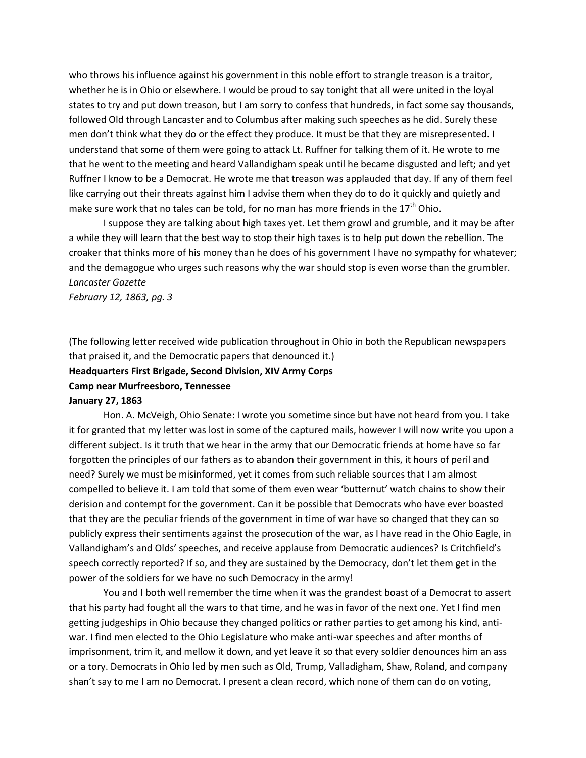who throws his influence against his government in this noble effort to strangle treason is a traitor, whether he is in Ohio or elsewhere. I would be proud to say tonight that all were united in the loyal states to try and put down treason, but I am sorry to confess that hundreds, in fact some say thousands, followed Old through Lancaster and to Columbus after making such speeches as he did. Surely these men don't think what they do or the effect they produce. It must be that they are misrepresented. I understand that some of them were going to attack Lt. Ruffner for talking them of it. He wrote to me that he went to the meeting and heard Vallandigham speak until he became disgusted and left; and yet Ruffner I know to be a Democrat. He wrote me that treason was applauded that day. If any of them feel like carrying out their threats against him I advise them when they do to do it quickly and quietly and make sure work that no tales can be told, for no man has more friends in the  $17<sup>th</sup>$  Ohio.

I suppose they are talking about high taxes yet. Let them growl and grumble, and it may be after a while they will learn that the best way to stop their high taxes is to help put down the rebellion. The croaker that thinks more of his money than he does of his government I have no sympathy for whatever; and the demagogue who urges such reasons why the war should stop is even worse than the grumbler. *Lancaster Gazette*

*February 12, 1863, pg. 3*

(The following letter received wide publication throughout in Ohio in both the Republican newspapers that praised it, and the Democratic papers that denounced it.)

**Headquarters First Brigade, Second Division, XIV Army Corps**

**Camp near Murfreesboro, Tennessee**

#### **January 27, 1863**

Hon. A. McVeigh, Ohio Senate: I wrote you sometime since but have not heard from you. I take it for granted that my letter was lost in some of the captured mails, however I will now write you upon a different subject. Is it truth that we hear in the army that our Democratic friends at home have so far forgotten the principles of our fathers as to abandon their government in this, it hours of peril and need? Surely we must be misinformed, yet it comes from such reliable sources that I am almost compelled to believe it. I am told that some of them even wear 'butternut' watch chains to show their derision and contempt for the government. Can it be possible that Democrats who have ever boasted that they are the peculiar friends of the government in time of war have so changed that they can so publicly express their sentiments against the prosecution of the war, as I have read in the Ohio Eagle, in Vallandigham's and Olds' speeches, and receive applause from Democratic audiences? Is Critchfield's speech correctly reported? If so, and they are sustained by the Democracy, don't let them get in the power of the soldiers for we have no such Democracy in the army!

You and I both well remember the time when it was the grandest boast of a Democrat to assert that his party had fought all the wars to that time, and he was in favor of the next one. Yet I find men getting judgeships in Ohio because they changed politics or rather parties to get among his kind, antiwar. I find men elected to the Ohio Legislature who make anti-war speeches and after months of imprisonment, trim it, and mellow it down, and yet leave it so that every soldier denounces him an ass or a tory. Democrats in Ohio led by men such as Old, Trump, Valladigham, Shaw, Roland, and company shan't say to me I am no Democrat. I present a clean record, which none of them can do on voting,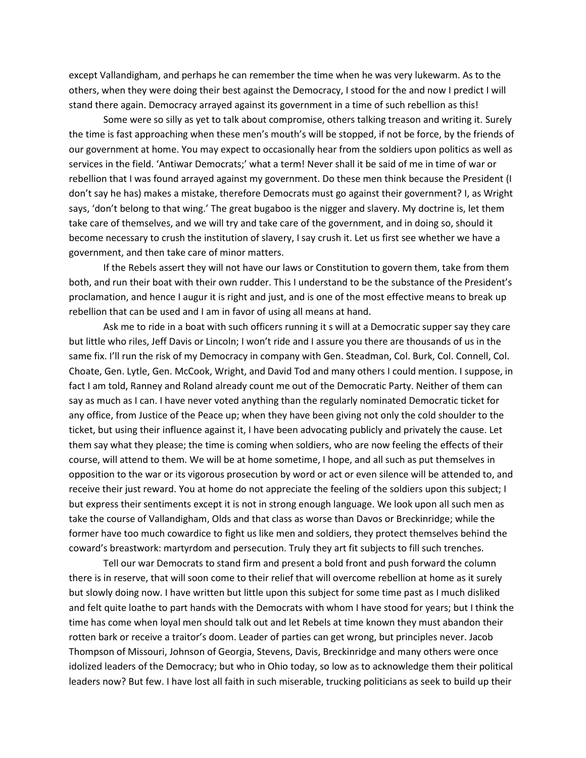except Vallandigham, and perhaps he can remember the time when he was very lukewarm. As to the others, when they were doing their best against the Democracy, I stood for the and now I predict I will stand there again. Democracy arrayed against its government in a time of such rebellion as this!

Some were so silly as yet to talk about compromise, others talking treason and writing it. Surely the time is fast approaching when these men's mouth's will be stopped, if not be force, by the friends of our government at home. You may expect to occasionally hear from the soldiers upon politics as well as services in the field. 'Antiwar Democrats;' what a term! Never shall it be said of me in time of war or rebellion that I was found arrayed against my government. Do these men think because the President (I don't say he has) makes a mistake, therefore Democrats must go against their government? I, as Wright says, 'don't belong to that wing.' The great bugaboo is the nigger and slavery. My doctrine is, let them take care of themselves, and we will try and take care of the government, and in doing so, should it become necessary to crush the institution of slavery, I say crush it. Let us first see whether we have a government, and then take care of minor matters.

If the Rebels assert they will not have our laws or Constitution to govern them, take from them both, and run their boat with their own rudder. This I understand to be the substance of the President's proclamation, and hence I augur it is right and just, and is one of the most effective means to break up rebellion that can be used and I am in favor of using all means at hand.

Ask me to ride in a boat with such officers running it s will at a Democratic supper say they care but little who riles, Jeff Davis or Lincoln; I won't ride and I assure you there are thousands of us in the same fix. I'll run the risk of my Democracy in company with Gen. Steadman, Col. Burk, Col. Connell, Col. Choate, Gen. Lytle, Gen. McCook, Wright, and David Tod and many others I could mention. I suppose, in fact I am told, Ranney and Roland already count me out of the Democratic Party. Neither of them can say as much as I can. I have never voted anything than the regularly nominated Democratic ticket for any office, from Justice of the Peace up; when they have been giving not only the cold shoulder to the ticket, but using their influence against it, I have been advocating publicly and privately the cause. Let them say what they please; the time is coming when soldiers, who are now feeling the effects of their course, will attend to them. We will be at home sometime, I hope, and all such as put themselves in opposition to the war or its vigorous prosecution by word or act or even silence will be attended to, and receive their just reward. You at home do not appreciate the feeling of the soldiers upon this subject; I but express their sentiments except it is not in strong enough language. We look upon all such men as take the course of Vallandigham, Olds and that class as worse than Davos or Breckinridge; while the former have too much cowardice to fight us like men and soldiers, they protect themselves behind the coward's breastwork: martyrdom and persecution. Truly they art fit subjects to fill such trenches.

Tell our war Democrats to stand firm and present a bold front and push forward the column there is in reserve, that will soon come to their relief that will overcome rebellion at home as it surely but slowly doing now. I have written but little upon this subject for some time past as I much disliked and felt quite loathe to part hands with the Democrats with whom I have stood for years; but I think the time has come when loyal men should talk out and let Rebels at time known they must abandon their rotten bark or receive a traitor's doom. Leader of parties can get wrong, but principles never. Jacob Thompson of Missouri, Johnson of Georgia, Stevens, Davis, Breckinridge and many others were once idolized leaders of the Democracy; but who in Ohio today, so low as to acknowledge them their political leaders now? But few. I have lost all faith in such miserable, trucking politicians as seek to build up their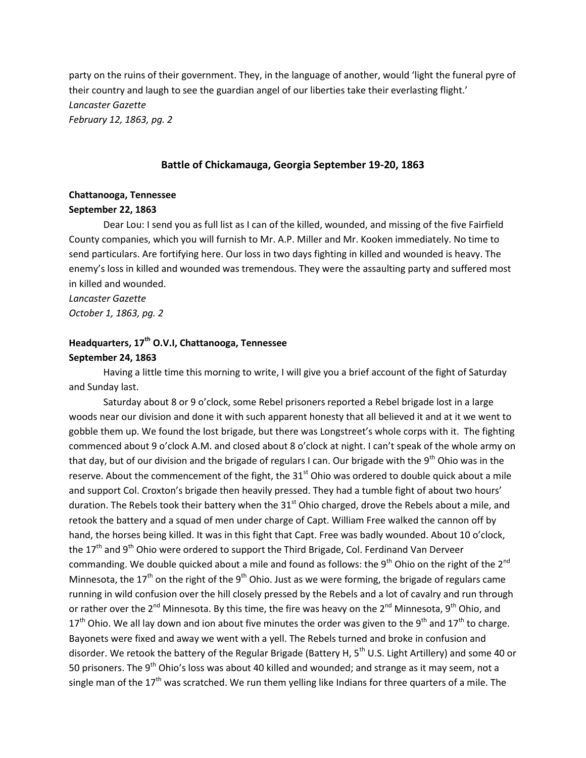party on the ruins of their government. They, in the language of another, would 'light the funeral pyre of their country and laugh to see the guardian angel of our liberties take their everlasting flight.' *Lancaster Gazette February 12, 1863, pg. 2*

#### **Battle of Chickamauga, Georgia September 19-20, 1863**

# **Chattanooga, Tennessee**

## **September 22, 1863**

Dear Lou: I send you as full list as I can of the killed, wounded, and missing of the five Fairfield County companies, which you will furnish to Mr. A.P. Miller and Mr. Kooken immediately. No time to send particulars. Are fortifying here. Our loss in two days fighting in killed and wounded is heavy. The enemy's loss in killed and wounded was tremendous. They were the assaulting party and suffered most in killed and wounded.

*Lancaster Gazette October 1, 1863, pg. 2*

## **Headquarters, 17th O.V.I, Chattanooga, Tennessee September 24, 1863**

# Having a little time this morning to write, I will give you a brief account of the fight of Saturday and Sunday last.

Saturday about 8 or 9 o'clock, some Rebel prisoners reported a Rebel brigade lost in a large woods near our division and done it with such apparent honesty that all believed it and at it we went to gobble them up. We found the lost brigade, but there was Longstreet's whole corps with it. The fighting commenced about 9 o'clock A.M. and closed about 8 o'clock at night. I can't speak of the whole army on that day, but of our division and the brigade of regulars I can. Our brigade with the 9<sup>th</sup> Ohio was in the reserve. About the commencement of the fight, the  $31<sup>st</sup>$  Ohio was ordered to double quick about a mile and support Col. Croxton's brigade then heavily pressed. They had a tumble fight of about two hours' duration. The Rebels took their battery when the 31<sup>st</sup> Ohio charged, drove the Rebels about a mile, and retook the battery and a squad of men under charge of Capt. William Free walked the cannon off by hand, the horses being killed. It was in this fight that Capt. Free was badly wounded. About 10 o'clock, the  $17<sup>th</sup>$  and 9<sup>th</sup> Ohio were ordered to support the Third Brigade, Col. Ferdinand Van Derveer commanding. We double quicked about a mile and found as follows: the 9<sup>th</sup> Ohio on the right of the 2<sup>nd</sup> Minnesota, the 17<sup>th</sup> on the right of the 9<sup>th</sup> Ohio. Just as we were forming, the brigade of regulars came running in wild confusion over the hill closely pressed by the Rebels and a lot of cavalry and run through or rather over the 2<sup>nd</sup> Minnesota. By this time, the fire was heavy on the 2<sup>nd</sup> Minnesota, 9<sup>th</sup> Ohio, and  $17<sup>th</sup>$  Ohio. We all lay down and ion about five minutes the order was given to the 9<sup>th</sup> and  $17<sup>th</sup>$  to charge. Bayonets were fixed and away we went with a yell. The Rebels turned and broke in confusion and disorder. We retook the battery of the Regular Brigade (Battery H, 5<sup>th</sup> U.S. Light Artillery) and some 40 or 50 prisoners. The 9<sup>th</sup> Ohio's loss was about 40 killed and wounded; and strange as it may seem, not a single man of the  $17<sup>th</sup>$  was scratched. We run them yelling like Indians for three quarters of a mile. The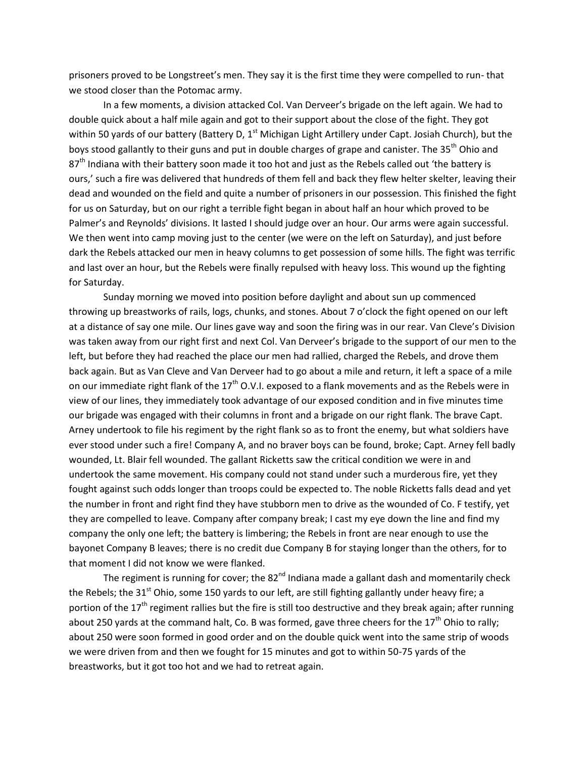prisoners proved to be Longstreet's men. They say it is the first time they were compelled to run- that we stood closer than the Potomac army.

In a few moments, a division attacked Col. Van Derveer's brigade on the left again. We had to double quick about a half mile again and got to their support about the close of the fight. They got within 50 yards of our battery (Battery D, 1<sup>st</sup> Michigan Light Artillery under Capt. Josiah Church), but the boys stood gallantly to their guns and put in double charges of grape and canister. The 35<sup>th</sup> Ohio and 87<sup>th</sup> Indiana with their battery soon made it too hot and just as the Rebels called out 'the battery is ours,' such a fire was delivered that hundreds of them fell and back they flew helter skelter, leaving their dead and wounded on the field and quite a number of prisoners in our possession. This finished the fight for us on Saturday, but on our right a terrible fight began in about half an hour which proved to be Palmer's and Reynolds' divisions. It lasted I should judge over an hour. Our arms were again successful. We then went into camp moving just to the center (we were on the left on Saturday), and just before dark the Rebels attacked our men in heavy columns to get possession of some hills. The fight was terrific and last over an hour, but the Rebels were finally repulsed with heavy loss. This wound up the fighting for Saturday.

Sunday morning we moved into position before daylight and about sun up commenced throwing up breastworks of rails, logs, chunks, and stones. About 7 o'clock the fight opened on our left at a distance of say one mile. Our lines gave way and soon the firing was in our rear. Van Cleve's Division was taken away from our right first and next Col. Van Derveer's brigade to the support of our men to the left, but before they had reached the place our men had rallied, charged the Rebels, and drove them back again. But as Van Cleve and Van Derveer had to go about a mile and return, it left a space of a mile on our immediate right flank of the  $17<sup>th</sup>$  O.V.I. exposed to a flank movements and as the Rebels were in view of our lines, they immediately took advantage of our exposed condition and in five minutes time our brigade was engaged with their columns in front and a brigade on our right flank. The brave Capt. Arney undertook to file his regiment by the right flank so as to front the enemy, but what soldiers have ever stood under such a fire! Company A, and no braver boys can be found, broke; Capt. Arney fell badly wounded, Lt. Blair fell wounded. The gallant Ricketts saw the critical condition we were in and undertook the same movement. His company could not stand under such a murderous fire, yet they fought against such odds longer than troops could be expected to. The noble Ricketts falls dead and yet the number in front and right find they have stubborn men to drive as the wounded of Co. F testify, yet they are compelled to leave. Company after company break; I cast my eye down the line and find my company the only one left; the battery is limbering; the Rebels in front are near enough to use the bayonet Company B leaves; there is no credit due Company B for staying longer than the others, for to that moment I did not know we were flanked.

The regiment is running for cover; the  $82<sup>nd</sup>$  Indiana made a gallant dash and momentarily check the Rebels; the 31<sup>st</sup> Ohio, some 150 yards to our left, are still fighting gallantly under heavy fire; a portion of the  $17<sup>th</sup>$  regiment rallies but the fire is still too destructive and they break again; after running about 250 yards at the command halt, Co. B was formed, gave three cheers for the  $17<sup>th</sup>$  Ohio to rally; about 250 were soon formed in good order and on the double quick went into the same strip of woods we were driven from and then we fought for 15 minutes and got to within 50-75 yards of the breastworks, but it got too hot and we had to retreat again.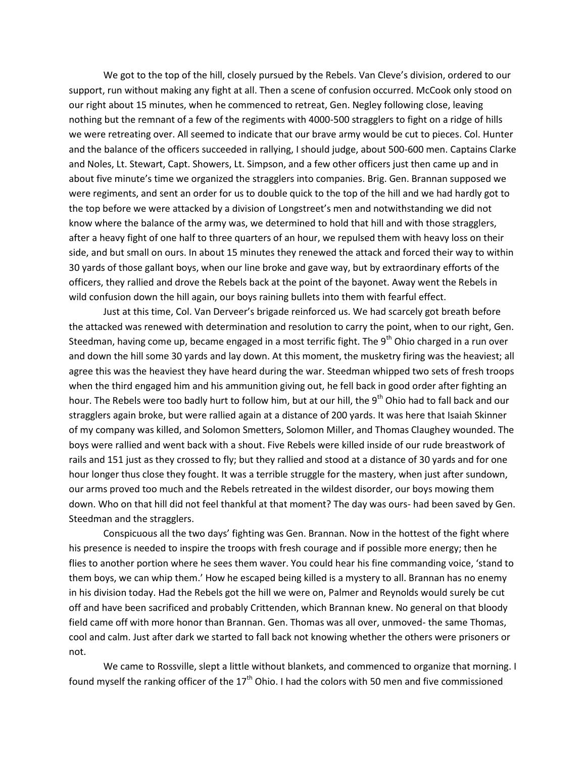We got to the top of the hill, closely pursued by the Rebels. Van Cleve's division, ordered to our support, run without making any fight at all. Then a scene of confusion occurred. McCook only stood on our right about 15 minutes, when he commenced to retreat, Gen. Negley following close, leaving nothing but the remnant of a few of the regiments with 4000-500 stragglers to fight on a ridge of hills we were retreating over. All seemed to indicate that our brave army would be cut to pieces. Col. Hunter and the balance of the officers succeeded in rallying, I should judge, about 500-600 men. Captains Clarke and Noles, Lt. Stewart, Capt. Showers, Lt. Simpson, and a few other officers just then came up and in about five minute's time we organized the stragglers into companies. Brig. Gen. Brannan supposed we were regiments, and sent an order for us to double quick to the top of the hill and we had hardly got to the top before we were attacked by a division of Longstreet's men and notwithstanding we did not know where the balance of the army was, we determined to hold that hill and with those stragglers, after a heavy fight of one half to three quarters of an hour, we repulsed them with heavy loss on their side, and but small on ours. In about 15 minutes they renewed the attack and forced their way to within 30 yards of those gallant boys, when our line broke and gave way, but by extraordinary efforts of the officers, they rallied and drove the Rebels back at the point of the bayonet. Away went the Rebels in wild confusion down the hill again, our boys raining bullets into them with fearful effect.

Just at this time, Col. Van Derveer's brigade reinforced us. We had scarcely got breath before the attacked was renewed with determination and resolution to carry the point, when to our right, Gen. Steedman, having come up, became engaged in a most terrific fight. The 9<sup>th</sup> Ohio charged in a run over and down the hill some 30 yards and lay down. At this moment, the musketry firing was the heaviest; all agree this was the heaviest they have heard during the war. Steedman whipped two sets of fresh troops when the third engaged him and his ammunition giving out, he fell back in good order after fighting an hour. The Rebels were too badly hurt to follow him, but at our hill, the 9<sup>th</sup> Ohio had to fall back and our stragglers again broke, but were rallied again at a distance of 200 yards. It was here that Isaiah Skinner of my company was killed, and Solomon Smetters, Solomon Miller, and Thomas Claughey wounded. The boys were rallied and went back with a shout. Five Rebels were killed inside of our rude breastwork of rails and 151 just as they crossed to fly; but they rallied and stood at a distance of 30 yards and for one hour longer thus close they fought. It was a terrible struggle for the mastery, when just after sundown, our arms proved too much and the Rebels retreated in the wildest disorder, our boys mowing them down. Who on that hill did not feel thankful at that moment? The day was ours- had been saved by Gen. Steedman and the stragglers.

Conspicuous all the two days' fighting was Gen. Brannan. Now in the hottest of the fight where his presence is needed to inspire the troops with fresh courage and if possible more energy; then he flies to another portion where he sees them waver. You could hear his fine commanding voice, 'stand to them boys, we can whip them.' How he escaped being killed is a mystery to all. Brannan has no enemy in his division today. Had the Rebels got the hill we were on, Palmer and Reynolds would surely be cut off and have been sacrificed and probably Crittenden, which Brannan knew. No general on that bloody field came off with more honor than Brannan. Gen. Thomas was all over, unmoved- the same Thomas, cool and calm. Just after dark we started to fall back not knowing whether the others were prisoners or not.

We came to Rossville, slept a little without blankets, and commenced to organize that morning. I found myself the ranking officer of the 17<sup>th</sup> Ohio. I had the colors with 50 men and five commissioned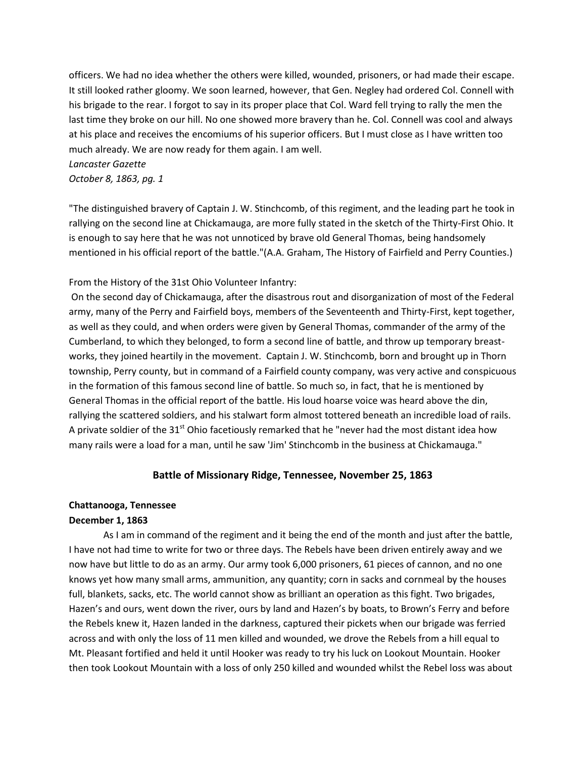officers. We had no idea whether the others were killed, wounded, prisoners, or had made their escape. It still looked rather gloomy. We soon learned, however, that Gen. Negley had ordered Col. Connell with his brigade to the rear. I forgot to say in its proper place that Col. Ward fell trying to rally the men the last time they broke on our hill. No one showed more bravery than he. Col. Connell was cool and always at his place and receives the encomiums of his superior officers. But I must close as I have written too much already. We are now ready for them again. I am well. *Lancaster Gazette*

*October 8, 1863, pg. 1*

"The distinguished bravery of Captain J. W. Stinchcomb, of this regiment, and the leading part he took in rallying on the second line at Chickamauga, are more fully stated in the sketch of the Thirty-First Ohio. It is enough to say here that he was not unnoticed by brave old General Thomas, being handsomely mentioned in his official report of the battle."(A.A. Graham, The History of Fairfield and Perry Counties.)

## From the History of the 31st Ohio Volunteer Infantry:

On the second day of Chickamauga, after the disastrous rout and disorganization of most of the Federal army, many of the Perry and Fairfield boys, members of the Seventeenth and Thirty-First, kept together, as well as they could, and when orders were given by General Thomas, commander of the army of the Cumberland, to which they belonged, to form a second line of battle, and throw up temporary breastworks, they joined heartily in the movement. Captain J. W. Stinchcomb, born and brought up in Thorn township, Perry county, but in command of a Fairfield county company, was very active and conspicuous in the formation of this famous second line of battle. So much so, in fact, that he is mentioned by General Thomas in the official report of the battle. His loud hoarse voice was heard above the din, rallying the scattered soldiers, and his stalwart form almost tottered beneath an incredible load of rails. A private soldier of the  $31<sup>st</sup>$  Ohio facetiously remarked that he "never had the most distant idea how many rails were a load for a man, until he saw 'Jim' Stinchcomb in the business at Chickamauga."

## **Battle of Missionary Ridge, Tennessee, November 25, 1863**

## **Chattanooga, Tennessee**

### **December 1, 1863**

As I am in command of the regiment and it being the end of the month and just after the battle, I have not had time to write for two or three days. The Rebels have been driven entirely away and we now have but little to do as an army. Our army took 6,000 prisoners, 61 pieces of cannon, and no one knows yet how many small arms, ammunition, any quantity; corn in sacks and cornmeal by the houses full, blankets, sacks, etc. The world cannot show as brilliant an operation as this fight. Two brigades, Hazen's and ours, went down the river, ours by land and Hazen's by boats, to Brown's Ferry and before the Rebels knew it, Hazen landed in the darkness, captured their pickets when our brigade was ferried across and with only the loss of 11 men killed and wounded, we drove the Rebels from a hill equal to Mt. Pleasant fortified and held it until Hooker was ready to try his luck on Lookout Mountain. Hooker then took Lookout Mountain with a loss of only 250 killed and wounded whilst the Rebel loss was about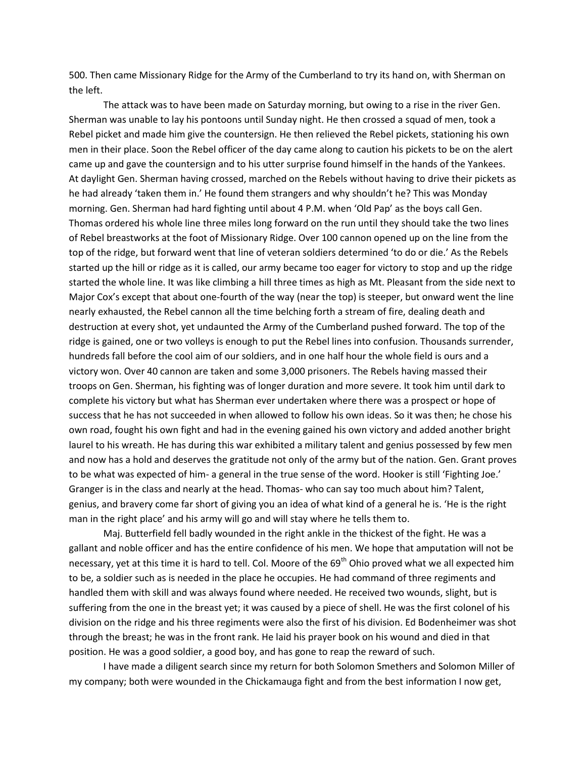500. Then came Missionary Ridge for the Army of the Cumberland to try its hand on, with Sherman on the left.

The attack was to have been made on Saturday morning, but owing to a rise in the river Gen. Sherman was unable to lay his pontoons until Sunday night. He then crossed a squad of men, took a Rebel picket and made him give the countersign. He then relieved the Rebel pickets, stationing his own men in their place. Soon the Rebel officer of the day came along to caution his pickets to be on the alert came up and gave the countersign and to his utter surprise found himself in the hands of the Yankees. At daylight Gen. Sherman having crossed, marched on the Rebels without having to drive their pickets as he had already 'taken them in.' He found them strangers and why shouldn't he? This was Monday morning. Gen. Sherman had hard fighting until about 4 P.M. when 'Old Pap' as the boys call Gen. Thomas ordered his whole line three miles long forward on the run until they should take the two lines of Rebel breastworks at the foot of Missionary Ridge. Over 100 cannon opened up on the line from the top of the ridge, but forward went that line of veteran soldiers determined 'to do or die.' As the Rebels started up the hill or ridge as it is called, our army became too eager for victory to stop and up the ridge started the whole line. It was like climbing a hill three times as high as Mt. Pleasant from the side next to Major Cox's except that about one-fourth of the way (near the top) is steeper, but onward went the line nearly exhausted, the Rebel cannon all the time belching forth a stream of fire, dealing death and destruction at every shot, yet undaunted the Army of the Cumberland pushed forward. The top of the ridge is gained, one or two volleys is enough to put the Rebel lines into confusion. Thousands surrender, hundreds fall before the cool aim of our soldiers, and in one half hour the whole field is ours and a victory won. Over 40 cannon are taken and some 3,000 prisoners. The Rebels having massed their troops on Gen. Sherman, his fighting was of longer duration and more severe. It took him until dark to complete his victory but what has Sherman ever undertaken where there was a prospect or hope of success that he has not succeeded in when allowed to follow his own ideas. So it was then; he chose his own road, fought his own fight and had in the evening gained his own victory and added another bright laurel to his wreath. He has during this war exhibited a military talent and genius possessed by few men and now has a hold and deserves the gratitude not only of the army but of the nation. Gen. Grant proves to be what was expected of him- a general in the true sense of the word. Hooker is still 'Fighting Joe.' Granger is in the class and nearly at the head. Thomas- who can say too much about him? Talent, genius, and bravery come far short of giving you an idea of what kind of a general he is. 'He is the right man in the right place' and his army will go and will stay where he tells them to.

Maj. Butterfield fell badly wounded in the right ankle in the thickest of the fight. He was a gallant and noble officer and has the entire confidence of his men. We hope that amputation will not be necessary, yet at this time it is hard to tell. Col. Moore of the 69<sup>th</sup> Ohio proved what we all expected him to be, a soldier such as is needed in the place he occupies. He had command of three regiments and handled them with skill and was always found where needed. He received two wounds, slight, but is suffering from the one in the breast yet; it was caused by a piece of shell. He was the first colonel of his division on the ridge and his three regiments were also the first of his division. Ed Bodenheimer was shot through the breast; he was in the front rank. He laid his prayer book on his wound and died in that position. He was a good soldier, a good boy, and has gone to reap the reward of such.

I have made a diligent search since my return for both Solomon Smethers and Solomon Miller of my company; both were wounded in the Chickamauga fight and from the best information I now get,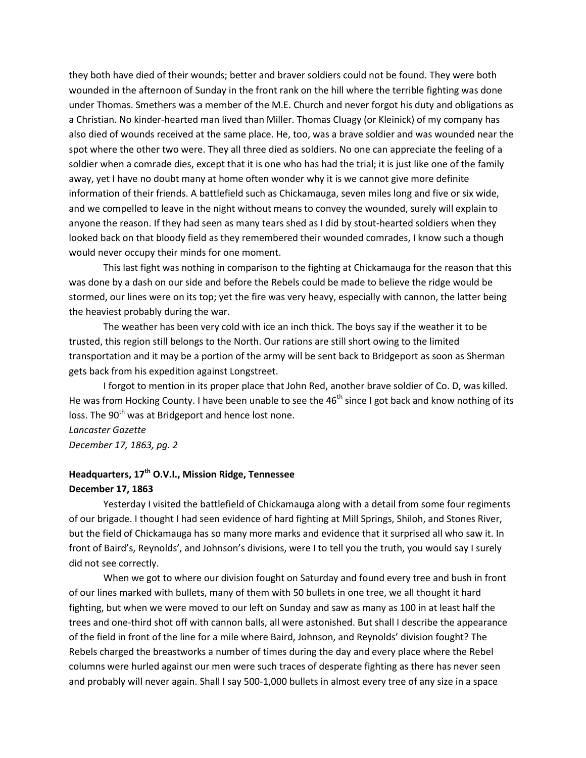they both have died of their wounds; better and braver soldiers could not be found. They were both wounded in the afternoon of Sunday in the front rank on the hill where the terrible fighting was done under Thomas. Smethers was a member of the M.E. Church and never forgot his duty and obligations as a Christian. No kinder-hearted man lived than Miller. Thomas Cluagy (or Kleinick) of my company has also died of wounds received at the same place. He, too, was a brave soldier and was wounded near the spot where the other two were. They all three died as soldiers. No one can appreciate the feeling of a soldier when a comrade dies, except that it is one who has had the trial; it is just like one of the family away, yet I have no doubt many at home often wonder why it is we cannot give more definite information of their friends. A battlefield such as Chickamauga, seven miles long and five or six wide, and we compelled to leave in the night without means to convey the wounded, surely will explain to anyone the reason. If they had seen as many tears shed as I did by stout-hearted soldiers when they looked back on that bloody field as they remembered their wounded comrades, I know such a though would never occupy their minds for one moment.

This last fight was nothing in comparison to the fighting at Chickamauga for the reason that this was done by a dash on our side and before the Rebels could be made to believe the ridge would be stormed, our lines were on its top; yet the fire was very heavy, especially with cannon, the latter being the heaviest probably during the war.

The weather has been very cold with ice an inch thick. The boys say if the weather it to be trusted, this region still belongs to the North. Our rations are still short owing to the limited transportation and it may be a portion of the army will be sent back to Bridgeport as soon as Sherman gets back from his expedition against Longstreet.

I forgot to mention in its proper place that John Red, another brave soldier of Co. D, was killed. He was from Hocking County. I have been unable to see the 46<sup>th</sup> since I got back and know nothing of its loss. The 90<sup>th</sup> was at Bridgeport and hence lost none.

*Lancaster Gazette December 17, 1863, pg. 2*

# **Headquarters, 17th O.V.I., Mission Ridge, Tennessee December 17, 1863**

Yesterday I visited the battlefield of Chickamauga along with a detail from some four regiments of our brigade. I thought I had seen evidence of hard fighting at Mill Springs, Shiloh, and Stones River, but the field of Chickamauga has so many more marks and evidence that it surprised all who saw it. In front of Baird's, Reynolds', and Johnson's divisions, were I to tell you the truth, you would say I surely did not see correctly.

When we got to where our division fought on Saturday and found every tree and bush in front of our lines marked with bullets, many of them with 50 bullets in one tree, we all thought it hard fighting, but when we were moved to our left on Sunday and saw as many as 100 in at least half the trees and one-third shot off with cannon balls, all were astonished. But shall I describe the appearance of the field in front of the line for a mile where Baird, Johnson, and Reynolds' division fought? The Rebels charged the breastworks a number of times during the day and every place where the Rebel columns were hurled against our men were such traces of desperate fighting as there has never seen and probably will never again. Shall I say 500-1,000 bullets in almost every tree of any size in a space